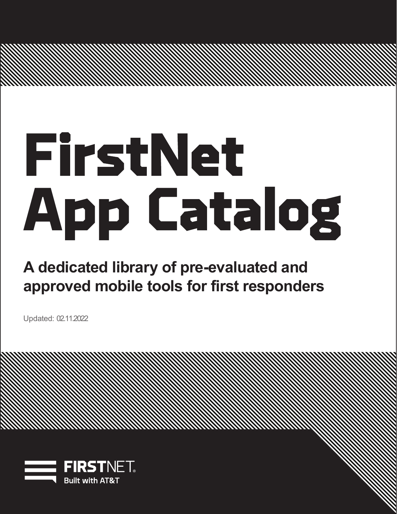# **A dedicated library of pre-evaluated and approved mobile tools for first responders**

Updated: 02.11.2022

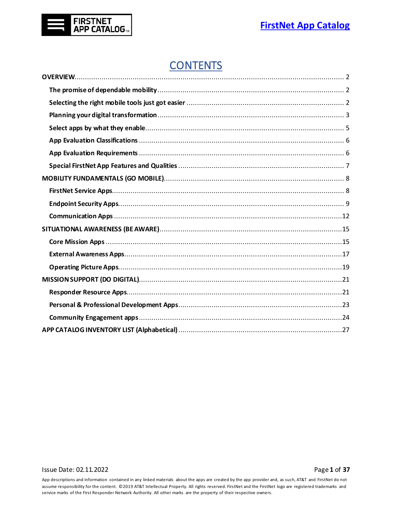

# **CONTENTS**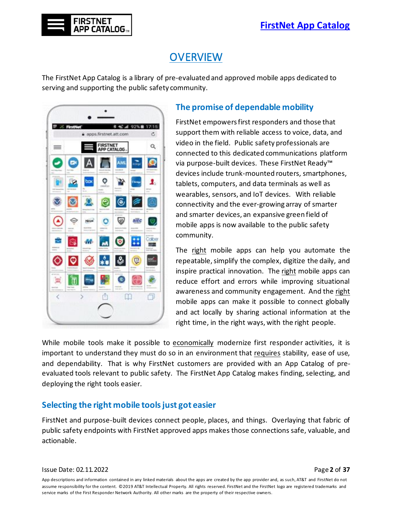

<span id="page-2-0"></span>The FirstNet App Catalog is a library of pre-evaluated and approved mobile apps dedicated to serving and supporting the public safety community.



**FIRSTNET APP CATALOG** 

#### <span id="page-2-1"></span>**The promise of dependable mobility**

FirstNet empowers first responders and those that support them with reliable access to voice, data, and video in the field. Public safety professionals are connected to this dedicated communications platform via purpose-built devices. These FirstNet Ready™ devices include trunk-mounted routers, smartphones, tablets, computers, and data terminals as well as wearables, sensors, and IoT devices. With reliable connectivity and the ever-growing array of smarter and smarter devices, an expansive green field of mobile apps is now available to the public safety community.

The right mobile apps can help you automate the repeatable, simplify the complex, digitize the daily, and inspire practical innovation. The right mobile apps can reduce effort and errors while improving situational awareness and community engagement. And the right mobile apps can make it possible to connect globally and act locally by sharing actional information at the right time, in the right ways, with the right people.

While mobile tools make it possible to economically modernize first responder activities, it is important to understand they must do so in an environment that requires stability, ease of use, and dependability. That is why FirstNet customers are provided with an App Catalog of preevaluated tools relevant to public safety. The FirstNet App Catalog makes finding, selecting, and deploying the right tools easier.

### <span id="page-2-2"></span>**Selecting the right mobile tools just got easier**

FirstNet and purpose-built devices connect people, places, and things. Overlaying that fabric of public safety endpoints with FirstNet approved apps makes those connections safe, valuable, and actionable.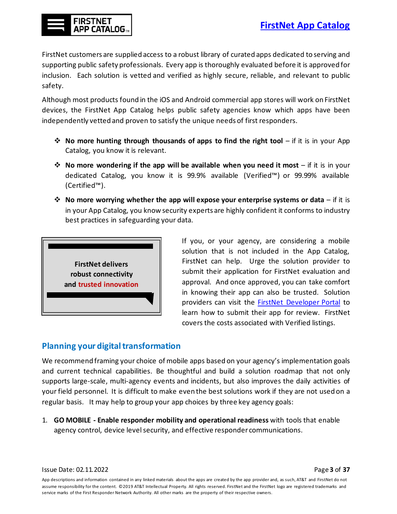

FirstNet customers are supplied access to a robust library of curated apps dedicated to serving and supporting public safety professionals. Every app is thoroughly evaluated before it is approved for inclusion. Each solution is vetted and verified as highly secure, reliable, and relevant to public safety.

Although most products found in the iOS and Android commercial app stores will work on FirstNet devices, the FirstNet App Catalog helps public safety agencies know which apps have been independently vetted and proven to satisfy the unique needs of first responders.

- **No more hunting through thousands of apps to find the right tool** if it is in your App Catalog, you know it is relevant.
- **No more wondering if the app will be available when you need it most** if it is in your dedicated Catalog, you know it is 99.9% available (Verified™) or 99.99% available (Certified™).
- **No more worrying whether the app will expose your enterprise systems or data** if it is in your App Catalog, you know security experts are highly confident it conforms to industry best practices in safeguarding your data.



If you, or your agency, are considering a mobile solution that is not included in the App Catalog, FirstNet can help. Urge the solution provider to submit their application for FirstNet evaluation and approval. And once approved, you can take comfort in knowing their app can also be trusted. Solution providers can visit the [FirstNet Developer Portal](https://firstnet.com/developer) to learn how to submit their app for review. FirstNet covers the costs associated with Verified listings.

### <span id="page-3-0"></span>**Planning your digital transformation**

We recommend framing your choice of mobile apps based on your agency's implementation goals and current technical capabilities. Be thoughtful and build a solution roadmap that not only supports large-scale, multi-agency events and incidents, but also improves the daily activities of your field personnel. It is difficult to make even the best solutions work if they are not used on a regular basis. It may help to group your app choices by three key agency goals:

1. **GO MOBILE - Enable responder mobility and operational readiness** with tools that enable agency control, device level security, and effective responder communications.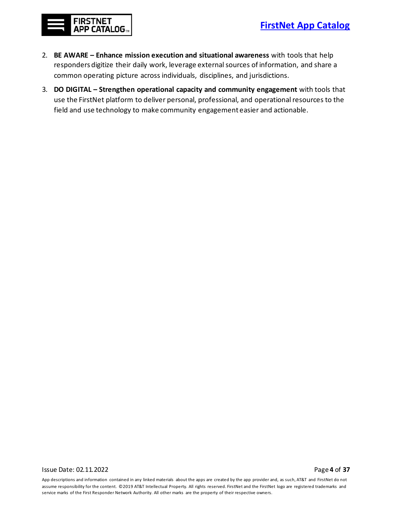

- 2. **BE AWARE – Enhance mission execution and situational awareness** with tools that help responders digitize their daily work, leverage external sources of information, and share a common operating picture across individuals, disciplines, and jurisdictions.
- 3. **DO DIGITAL – Strengthen operational capacity and community engagement** with tools that use the FirstNet platform to deliver personal, professional, and operational resources to the field and use technology to make community engagement easier and actionable.

Issue Date: 02.11.2022 Page **4** of **37**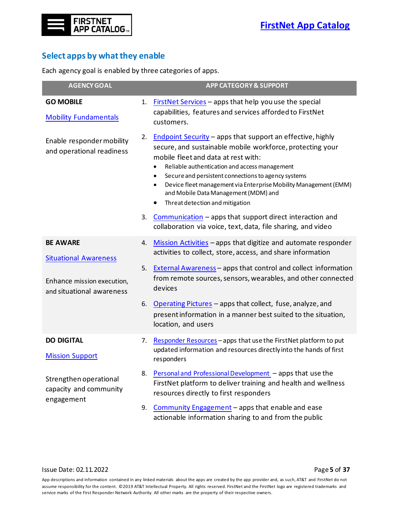## <span id="page-5-0"></span>**Select apps by what they enable**

Each agency goal is enabled by three categories of apps.

| <b>AGENCY GOAL</b>                                                                                         |                | <b>APP CATEGORY &amp; SUPPORT</b>                                                                                                                                                                                                                                                                                                                                                                                                                                                                                                                        |
|------------------------------------------------------------------------------------------------------------|----------------|----------------------------------------------------------------------------------------------------------------------------------------------------------------------------------------------------------------------------------------------------------------------------------------------------------------------------------------------------------------------------------------------------------------------------------------------------------------------------------------------------------------------------------------------------------|
| <b>GO MOBILE</b><br><b>Mobility Fundamentals</b>                                                           | 1.             | <b>FirstNet Services</b> – apps that help you use the special<br>capabilities, features and services afforded to FirstNet<br>customers.                                                                                                                                                                                                                                                                                                                                                                                                                  |
| Enable responder mobility<br>and operational readiness                                                     | 2.<br>3.       | <b>Endpoint Security - apps that support an effective, highly</b><br>secure, and sustainable mobile workforce, protecting your<br>mobile fleet and data at rest with:<br>Reliable authentication and access management<br>Secure and persistent connections to agency systems<br>Device fleet management via Enterprise Mobility Management (EMM)<br>and Mobile Data Management (MDM) and<br>Threat detection and mitigation<br>Communication – apps that support direct interaction and<br>collaboration via voice, text, data, file sharing, and video |
| <b>BE AWARE</b><br><b>Situational Awareness</b><br>Enhance mission execution,<br>and situational awareness | 4.<br>5.<br>6. | Mission Activities - apps that digitize and automate responder<br>activities to collect, store, access, and share information<br><b>External Awareness</b> – apps that control and collect information<br>from remote sources, sensors, wearables, and other connected<br>devices<br>Operating Pictures - apps that collect, fuse, analyze, and<br>present information in a manner best suited to the situation,<br>location, and users                                                                                                                  |
| <b>DO DIGITAL</b><br><b>Mission Support</b><br>Strengthen operational<br>capacity and community            | 7.<br>8.       | Responder Resources - apps that use the FirstNet platform to put<br>updated information and resources directly into the hands of first<br>responders<br>Personal and Professional Development - apps that use the<br>FirstNet platform to deliver training and health and wellness                                                                                                                                                                                                                                                                       |
| engagement                                                                                                 | 9.             | resources directly to first responders<br>Community Engagement - apps that enable and ease<br>actionable information sharing to and from the public                                                                                                                                                                                                                                                                                                                                                                                                      |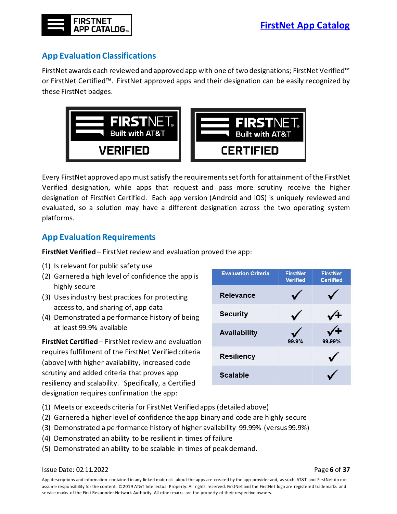

# <span id="page-6-0"></span>**App EvaluationClassifications**

FirstNet awards each reviewed and approved app with one of two designations; FirstNet Verified™ or FirstNet Certified™. FirstNet approved apps and their designation can be easily recognized by these FirstNet badges.



Every FirstNet approved app must satisfy the requirements set forth for attainment of the FirstNet Verified designation, while apps that request and pass more scrutiny receive the higher designation of FirstNet Certified. Each app version (Android and iOS) is uniquely reviewed and evaluated, so a solution may have a different designation across the two operating system platforms.

## <span id="page-6-1"></span>**App Evaluation Requirements**

**FirstNet Verified**– FirstNet review and evaluation proved the app:

- (1) Is relevant for public safety use
- (2) Garnered a high level of confidence the app is highly secure
- (3) Uses industry best practices for protecting access to, and sharing of, app data
- (4) Demonstrated a performance history of being at least 99.9% available

**FirstNet Certified**– FirstNet review and evaluation requires fulfillment of the FirstNet Verified criteria (above) with higher availability, increased code scrutiny and added criteria that proves app resiliency and scalability. Specifically, a Certified designation requires confirmation the app:

| <b>Evaluation Criteria</b> | <b>FirstNet</b><br><b>Verified</b> | <b>FirstNet</b><br><b>Certified</b> |
|----------------------------|------------------------------------|-------------------------------------|
| <b>Relevance</b>           |                                    |                                     |
| <b>Security</b>            |                                    |                                     |
| <b>Availability</b>        | 99.9%                              | 99.99%                              |
| <b>Resiliency</b>          |                                    |                                     |
| <b>Scalable</b>            |                                    |                                     |

- (1) Meets or exceeds criteria for FirstNet Verified apps (detailed above)
- (2) Garnered a higher level of confidence the app binary and code are highly secure
- (3) Demonstrated a performance history of higher availability 99.99% (versus 99.9%)
- (4) Demonstrated an ability to be resilient in times of failure
- (5) Demonstrated an ability to be scalable in times of peak demand.

Issue Date: 02.11.2022 Page **6** of **37**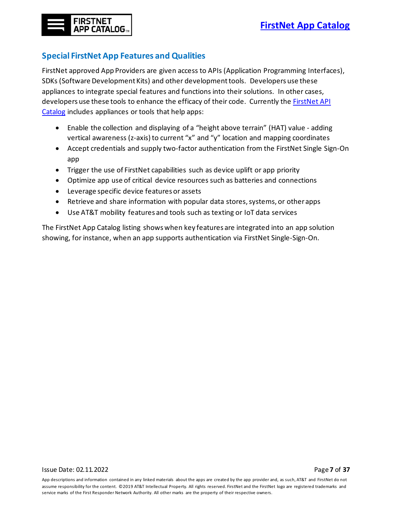# <span id="page-7-0"></span>**Special FirstNet App Features and Qualities**

FirstNet approved App Providers are given access to APIs (Application Programming Interfaces), SDKs (Software Development Kits) and other development tools. Developers use these appliances to integrate special features and functions into their solutions. In other cases, developers use these tools to enhance the efficacy of their code. Currently the [FirstNet API](mailto:https://developer.firstnet.com/firstnet/apis-sdks)  [Catalog](mailto:https://developer.firstnet.com/firstnet/apis-sdks) includes appliances or tools that help apps:

- Enable the collection and displaying of a "height above terrain" (HAT) value adding vertical awareness (z-axis) to current "x" and "y" location and mapping coordinates
- Accept credentials and supply two-factor authentication from the FirstNet Single Sign-On app
- Trigger the use of FirstNet capabilities such as device uplift or app priority
- Optimize app use of critical device resources such as batteries and connections
- Leverage specific device features or assets
- Retrieve and share information with popular data stores, systems, or other apps
- Use AT&T mobility features and tools such as texting or IoT data services

<span id="page-7-1"></span>The FirstNet App Catalog listing showswhen key features are integrated into an app solution showing, for instance, when an app supports authentication via FirstNet Single-Sign-On.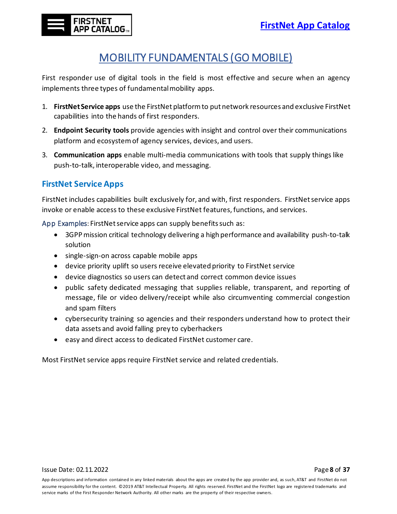# MOBILITY FUNDAMENTALS (GO MOBILE)

<span id="page-8-0"></span>First responder use of digital tools in the field is most effective and secure when an agency implements three types of fundamental mobility apps.

- 1. **FirstNet Service apps** use the FirstNet platform to put network resources and exclusive FirstNet capabilities into the hands of first responders.
- 2. **Endpoint Security tools** provide agencies with insight and control over their communications platform and ecosystem of agency services, devices, and users.
- 3. **Communication apps** enable multi-media communications with tools that supply things like push-to-talk, interoperable video, and messaging.

# <span id="page-8-1"></span>**FirstNet Service Apps**

FirstNet includes capabilities built exclusively for, and with, first responders. FirstNet service apps invoke or enable access to these exclusive FirstNet features, functions, and services.

App Examples: FirstNet service apps can supply benefits such as:

- 3GPP mission critical technology delivering a high performance and availability push-to-talk solution
- single-sign-on across capable mobile apps
- device priority uplift so users receive elevated priority to FirstNet service
- device diagnostics so users can detect and correct common device issues
- public safety dedicated messaging that supplies reliable, transparent, and reporting of message, file or video delivery/receipt while also circumventing commercial congestion and spam filters
- cybersecurity training so agencies and their responders understand how to protect their data assets and avoid falling prey to cyberhackers
- easy and direct access to dedicated FirstNet customer care.

Most FirstNet service apps require FirstNet service and related credentials.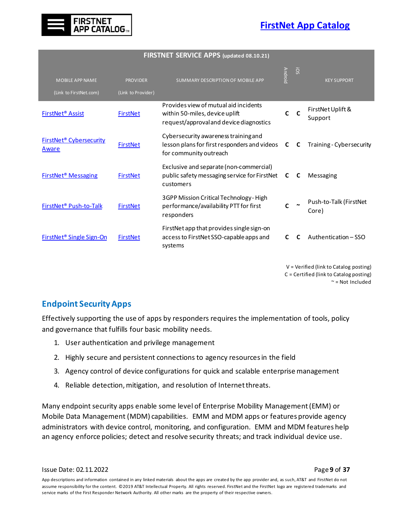

|                                                    | <b>FINSTINET SENVICE AFFS (updated 08.10.21)</b> |                                                                                                                    |                |     |                                 |  |  |
|----------------------------------------------------|--------------------------------------------------|--------------------------------------------------------------------------------------------------------------------|----------------|-----|---------------------------------|--|--|
| <b>MOBILE APP NAME</b><br>(Link to FirstNet.com)   | <b>PROVIDER</b><br>(Link to Provider)            | SUMMARY DESCRIPTION OF MOBILE APP                                                                                  | <b>Android</b> | ios | <b>KEY SUPPORT</b>              |  |  |
| <b>FirstNet<sup>®</sup> Assist</b>                 | <b>FirstNet</b>                                  | Provides view of mutual aid incidents<br>within 50-miles, device uplift<br>request/approval and device diagnostics |                |     | FirstNet Uplift &<br>Support    |  |  |
| <b>FirstNet<sup>®</sup></b> Cybersecurity<br>Aware | <b>FirstNet</b>                                  | Cybersecurity awareness training and<br>lesson plans for first responders and videos<br>for community outreach     | C              | C   | Training - Cybersecurity        |  |  |
| <b>FirstNet<sup>®</sup> Messaging</b>              | <b>FirstNet</b>                                  | Exclusive and separate (non-commercial)<br>public safety messaging service for FirstNet<br>customers               | C              | C   | Messaging                       |  |  |
| FirstNet <sup>®</sup> Push-to-Talk                 | <b>FirstNet</b>                                  | 3GPP Mission Critical Technology - High<br>performance/availability PTT for first<br>responders                    |                |     | Push-to-Talk (FirstNet<br>Core) |  |  |
| FirstNet <sup>®</sup> Single Sign-On               | <b>FirstNet</b>                                  | FirstNet app that provides single sign-on<br>access to FirstNet SSO-capable apps and<br>systems                    | C              | C   | Authentication - SSO            |  |  |
|                                                    |                                                  |                                                                                                                    |                |     |                                 |  |  |

**FIRSTNET SERVICE APPS (updated 08.10.21)**

V = Verified (link to Catalog posting) C = Certified (link to Catalog posting)  $\sim$  = Not Included

### <span id="page-9-0"></span>**Endpoint Security Apps**

Effectively supporting the use of apps by responders requires the implementation of tools, policy and governance that fulfills four basic mobility needs.

- 1. User authentication and privilege management
- 2. Highly secure and persistent connections to agency resourcesin the field
- 3. Agency control of device configurations for quick and scalable enterprise management
- 4. Reliable detection, mitigation, and resolution of Internet threats.

Many endpoint security apps enable some level of Enterprise Mobility Management (EMM) or Mobile Data Management (MDM) capabilities. EMM and MDM apps or features provide agency administrators with device control, monitoring, and configuration. EMM and MDM features help an agency enforce policies; detect and resolve security threats; and track individual device use.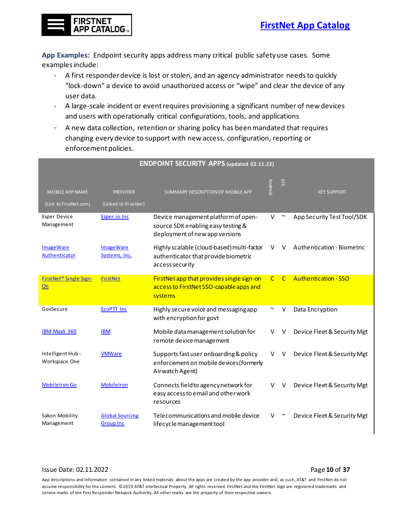

**App Examples:** Endpoint security apps address many critical public safety use cases. Some examples include:

- A first responder device is lost or stolen, and an agency administrator needs to quickly "lock-down" a device to avoid unauthorized access or "wipe" and clear the device of any user data.
- A large-scale incident or event requires provisioning a significant number of new devices and users with operationally critical configurations, tools, and applications
- A new data collection, retention or sharing policy has been mandated that requires changing every device to support with new access, configuration, reporting or enforcement policies.

| <b>ENDPOINT SECURITY APPS (updated 02.11.22)</b> |                                            |                                                                                                             |                |         |                             |  |  |
|--------------------------------------------------|--------------------------------------------|-------------------------------------------------------------------------------------------------------------|----------------|---------|-----------------------------|--|--|
| <b>MOBILE APP NAME</b><br>(Link to FirstNet.com) | <b>PROVIDER</b><br>(Linked to Provider)    | <b>SUMMARY DESCRIPTION OF MOBILE APP</b>                                                                    | <b>Android</b> | SO.     | <b>KEY SUPPORT</b>          |  |  |
| <b>Esper Device</b><br>Management                | Esper.io.Inc                               | Device management platform of open-<br>source SDK enabling easy testing &<br>deployment of new app versions | V              | $\sim$  | App Security Test Tool/SDK  |  |  |
| <b>ImageWare</b><br>Authenticator                | <b>ImageWare</b><br>Systems, Inc.          | Highly scalable (cloud-based) multi-factor<br>authenticator that provide biometric<br>access security       | v              | V       | Authentication - Biometric  |  |  |
| FirstNet <sup>®</sup> Single Sign-<br>On         | <b>FirstNet</b>                            | FirstNet app that provides single sign-on<br>access to FirstNet SSO-capable apps and<br>systems             |                | $C$ $C$ | <b>Authentication - SSO</b> |  |  |
| GovSecure                                        | <b>ECOPTT Inc</b>                          | Highly secure voice and messaging app<br>with encryption for govt                                           | ∼              | $\vee$  | Data Encryption             |  |  |
| <b>IBM MaaS 360</b>                              | <b>IBM</b>                                 | Mobile data management solution for<br>remote device management                                             | v              | V       | Device Fleet & Security Mgt |  |  |
| Intelligent Hub -<br>Workspace One               | <b>VMWare</b>                              | Supports fast user onboarding & policy<br>enforcement on mobile devices (formerly<br>Airwatch Agent)        | V              | V       | Device Fleet & Security Mgt |  |  |
| <b>MobileIron Go</b>                             | <b>MobileIron</b>                          | Connects field to agency network for<br>easy access to email and other work<br>resources                    | V              | V       | Device Fleet & Security Mgt |  |  |
| Sakon Mobility<br>Management                     | <b>Global Sourcing</b><br><b>Group Inc</b> | Telecommunications and mobile device<br>lifecycle management tool                                           | V              |         | Device Fleet & Security Mgt |  |  |

#### Issue Date: 02.11.2022 Page **10** of **37**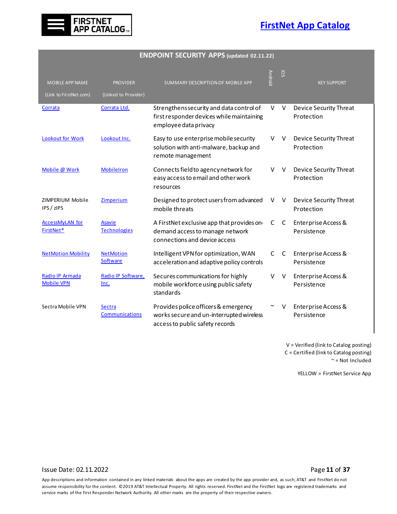

#### **ENDPOINT SECURITY APPS (updated 02.11.22)**

| <b>MOBILE APP NAME</b><br>(Link to FirstNet.com) | <b>PROVIDER</b><br>(Linked to Provider) | SUMMARY DESCRIPTION OF MOBILE APP                                                                                   | Android               | SO. | <b>KEY SUPPORT</b>                   |
|--------------------------------------------------|-----------------------------------------|---------------------------------------------------------------------------------------------------------------------|-----------------------|-----|--------------------------------------|
| Corrata                                          | Corrata Ltd.                            | Strengthens security and data control of<br>first responder devices while maintaining<br>employee data privacy      | V                     | V   | Device Security Threat<br>Protection |
| <b>Lookout for Work</b>                          | Lookout Inc.                            | Easy to use enterprise mobile security<br>solution with anti-malware, backup and<br>remote management               | v                     | V   | Device Security Threat<br>Protection |
| Mobile @ Work                                    | <b>MobileIron</b>                       | Connects field to agency network for<br>easy access to email and other work<br>resources                            | V                     | V   | Device Security Threat<br>Protection |
| ZIMPERIUM Mobile<br>IPS / zIPS                   | Zimperium                               | Designed to protect users from advanced<br>mobile threats                                                           | V                     | V   | Device Security Threat<br>Protection |
| <b>AccessMyLAN for</b><br><b>FirstNet®</b>       | <b>Asavie</b><br><b>Technologies</b>    | A FirstNet exclusive app that provides on-<br>demand access to manage network<br>connections and device access      | C                     | C   | Enterprise Access &<br>Persistence   |
| <b>NetMotion Mobility</b>                        | <b>NetMotion</b><br>Software            | Intelligent VPN for optimization, WAN<br>acceleration and adaptive policy controls                                  | C                     | C   | Enterprise Access &<br>Persistence   |
| Radio IP Armada<br><b>Mobile VPN</b>             | Radio IP Software,<br>Inc.              | Secures communications for highly<br>mobile workforce using public safety<br>standards                              | v                     | v   | Enterprise Access &<br>Persistence   |
| Sectra Mobile VPN                                | <b>Sectra</b><br>Communications         | Provides police officers & emergency<br>works secure and un-interrupted wireless<br>access to public safety records | $\tilde{\phantom{a}}$ | V   | Enterprise Access &<br>Persistence   |

V = Verified (link to Catalog posting) C = Certified (link to Catalog posting) ~ = Not Included

YELLOW = FirstNet Service App

#### <span id="page-11-0"></span>Issue Date: 02.11.2022 Page **11** of **37**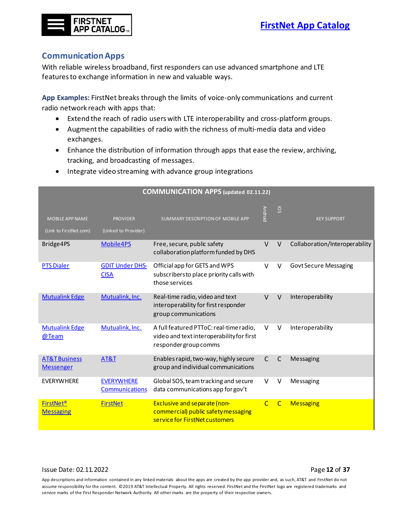

#### <span id="page-12-0"></span>**CommunicationApps**

With reliable wireless broadband, first responders can use advanced smartphone and LTE featuresto exchange information in new and valuable ways.

**App Examples:** FirstNet breaks through the limits of voice-only communications and current radio network reach with apps that:

- Extend the reach of radio users with LTE interoperability and cross-platform groups.
- Augment the capabilities of radio with the richness of multi-media data and video exchanges.
- Enhance the distribution of information through apps that ease the review, archiving, tracking, and broadcasting of messages.
- Integrate video streaming with advance group integrations

| <b>COMMUNICATION APPS (updated 02.11.22)</b>     |                                         |                                                                                                               |                |              |                                |  |
|--------------------------------------------------|-----------------------------------------|---------------------------------------------------------------------------------------------------------------|----------------|--------------|--------------------------------|--|
| <b>MOBILE APP NAME</b><br>(Link to FirstNet.com) | <b>PROVIDER</b><br>(Linked to Provider) | SUMMARY DESCRIPTION OF MOBILE APP                                                                             | <b>Android</b> | SO.          | <b>KEY SUPPORT</b>             |  |
| Bridge4PS                                        | Mobile4PS                               | Free, secure, public safety<br>collaboration platform funded by DHS                                           | $\vee$         | $\vee$       | Collaboration/Interoperability |  |
| <b>PTS Dialer</b>                                | <b>GDIT Under DHS-</b><br><b>CISA</b>   | Official app for GETS and WPS<br>subscribers to place priority calls with<br>those services                   | V              | V            | <b>Govt Secure Messaging</b>   |  |
| <b>Mutualink Edge</b>                            | Mutualink, Inc.                         | Real-time radio, video and text<br>interoperability for first responder<br>group communications               | $\vee$         | $\vee$       | Interoperability               |  |
| <b>Mutualink Edge</b><br>@Team                   | Mutualink, Inc.                         | A full featured PTToC: real-time radio,<br>video and text interoperability for first<br>responder group comms | $\vee$         | V            | Interoperability               |  |
| <b>AT&amp;T Business</b><br><b>Messenger</b>     | <b>AT&amp;T</b>                         | Enables rapid, two-way, highly secure<br>group and individual communications                                  | $\mathsf{C}$   | $\mathsf{C}$ | Messaging                      |  |
| <b>EVERYWHERE</b>                                | <b>EVERYWHERE</b><br>Communications     | Global SOS, team tracking and secure<br>data communications app for gov't                                     | v              | V            | Messaging                      |  |
| <b>FirstNet<sup>®</sup></b><br><b>Messaging</b>  | <b>FirstNet</b>                         | Exclusive and separate (non-<br>commercial) public safety messaging<br>service for FirstNet customers         | $\mathsf{C}$   | $\mathsf{C}$ | <b>Messaging</b>               |  |

#### Issue Date: 02.11.2022 Page **12** of **37**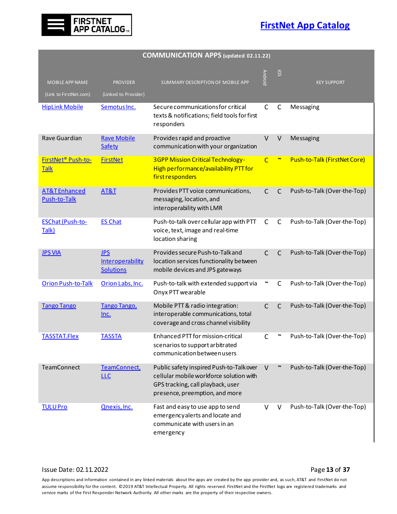

| <b>COMMUNICATION APPS (updated 02.11.22)</b>     |                                                    |                                                                                                                                                            |              |                     |                              |  |  |
|--------------------------------------------------|----------------------------------------------------|------------------------------------------------------------------------------------------------------------------------------------------------------------|--------------|---------------------|------------------------------|--|--|
| <b>MOBILE APP NAME</b><br>(Link to FirstNet.com) | <b>PROVIDER</b><br>(Linked to Provider)            | SUMMARY DESCRIPTION OF MOBILE APP                                                                                                                          | Android      | <b>SO</b>           | <b>KEY SUPPORT</b>           |  |  |
| <b>HipLink Mobile</b>                            | Semotus Inc.                                       | Secure communications for critical<br>texts & notifications; field tools for first<br>responders                                                           | $\mathsf{C}$ | $\mathsf{C}$        | Messaging                    |  |  |
| Rave Guardian                                    | <b>Rave Mobile</b><br>Safety                       | Provides rapid and proactive<br>communication with your organization                                                                                       | $\vee$       | $\vee$              | Messaging                    |  |  |
| FirstNet <sup>®</sup> Push-to-<br><b>Talk</b>    | <b>FirstNet</b>                                    | <b>3GPP Mission Critical Technology-</b><br>High performance/availability PTT for<br>first responders                                                      | $\mathsf{C}$ |                     | Push-to-Talk (FirstNet Core) |  |  |
| <b>AT&amp;TEnhanced</b><br>Push-to-Talk          | AT&T                                               | Provides PTT voice communications,<br>messaging, location, and<br>interoperability with LMR                                                                | $\mathsf{C}$ | C                   | Push-to-Talk (Over-the-Top)  |  |  |
| <b>ESChat (Push-to-</b><br>Talk)                 | <b>ES Chat</b>                                     | Push-to-talk over cellular app with PTT<br>voice, text, image and real-time<br>location sharing                                                            | $\mathsf{C}$ | C                   | Push-to-Talk (Over-the-Top)  |  |  |
| <b>JPS VIA</b>                                   | <b>JPS</b><br>Interoperability<br><b>Solutions</b> | Provides secure Push-to-Talkand<br>location services functionality between<br>mobile devices and JPS gateways                                              | $\mathsf{C}$ | $\mathsf{C}$        | Push-to-Talk (Over-the-Top)  |  |  |
| <b>Orion Push-to-Talk</b>                        | Orion Labs, Inc.                                   | Push-to-talk with extended support via<br>Onyx PTT wearable                                                                                                |              | C                   | Push-to-Talk (Over-the-Top)  |  |  |
| <b>Tango Tango</b>                               | <b>Tango Tango,</b><br><u>Inc.</u>                 | Mobile PTT & radio integration:<br>interoperable communications, total<br>coverage and cross channel visibility                                            | $\mathsf{C}$ | $\mathsf{C}$        | Push-to-Talk (Over-the-Top)  |  |  |
| <b>TASSTAT.Flex</b>                              | <b>TASSTA</b>                                      | Enhanced PTT for mission-critical<br>scenarios to support arbitrated<br>communication between users                                                        | С            |                     | Push-to-Talk (Over-the-Top)  |  |  |
| <b>TeamConnect</b>                               | TeamConnect,<br><b>LLC</b>                         | Public safety inspired Push-to-Talk over<br>cellular mobile workforce solution with<br>GPS tracking, call playback, user<br>presence, preemption, and more | V            | $\boldsymbol{\sim}$ | Push-to-Talk (Over-the-Top)  |  |  |
| <b>TULU Pro</b>                                  | Qnexis, Inc.                                       | Fast and easy to use app to send<br>emergencyalerts and locate and<br>communicate with users in an<br>emergency                                            | V            | v                   | Push-to-Talk (Over-the-Top)  |  |  |

#### Issue Date: 02.11.2022 **Page 13** of **37**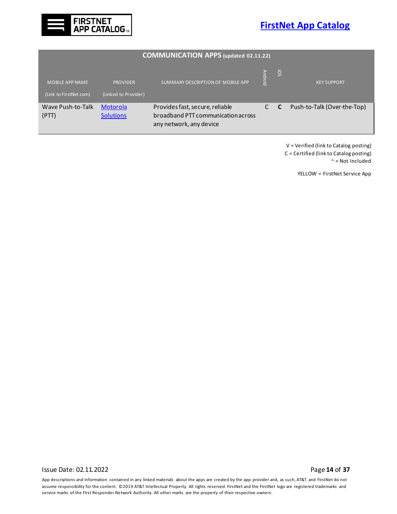



<span id="page-14-0"></span>

| <b>COMMUNICATION APPS (updated 02.11.22)</b>     |                                         |                                                                                                  |                |                 |                             |  |  |
|--------------------------------------------------|-----------------------------------------|--------------------------------------------------------------------------------------------------|----------------|-----------------|-----------------------------|--|--|
| <b>MOBILE APP NAME</b><br>(Link to FirstNet.com) | <b>PROVIDER</b><br>(Linked to Provider) | SUMMARY DESCRIPTION OF MOBILE APP                                                                | <b>Tharoid</b> | SO <sub>3</sub> | <b>KEY SUPPORT</b>          |  |  |
| Wave Push-to-Talk<br>(PTT)                       | Motorola<br><b>Solutions</b>            | Provides fast, secure, reliable<br>broadband PTT communication across<br>any network, any device |                | $\mathbf{C}$    | Push-to-Talk (Over-the-Top) |  |  |

V = Verified (link to Catalog posting) C = Certified (link to Catalog posting) ~ = Not Included

YELLOW = FirstNet Service App

Issue Date: 02.11.2022 **Page 14** of **37**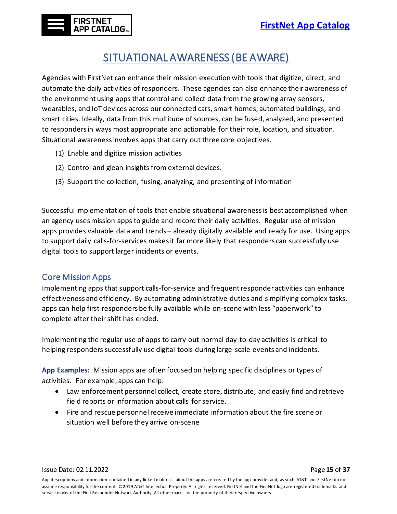# SITUATIONAL AWARENESS (BE AWARE)

<span id="page-15-0"></span>Agencies with FirstNet can enhance their mission execution with tools that digitize, direct, and automate the daily activities of responders. These agencies can also enhance their awareness of the environment using apps that control and collect data from the growing array sensors, wearables, and IoT devices across our connected cars, smart homes, automated buildings, and smart cities. Ideally, data from this multitude of sources, can be fused, analyzed, and presented to respondersin ways most appropriate and actionable for their role, location, and situation. Situational awareness involves apps that carry out three core objectives.

- (1) Enable and digitize mission activities
- (2) Control and glean insights from external devices.
- (3) Support the collection, fusing, analyzing, and presenting of information

Successful implementation of tools that enable situational awareness is best accomplished when an agency uses mission apps to guide and record their daily activities. Regular use of mission apps provides valuable data and trends – already digitally available and ready for use. Using apps to support daily calls-for-services makes it far more likely that responders can successfully use digital tools to support larger incidents or events.

### <span id="page-15-1"></span>Core Mission Apps

Implementing apps that support calls-for-service and frequent responder activities can enhance effectiveness and efficiency. By automating administrative duties and simplifying complex tasks, apps can help first responders be fully available while on-scene with less "paperwork" to complete after their shift has ended.

Implementing the regular use of apps to carry out normal day-to-day activities is critical to helping responders successfully use digital tools during large-scale events and incidents.

**App Examples:** Mission apps are often focused on helping specific disciplines or types of activities. For example, apps can help:

- Law enforcement personnel collect, create store, distribute, and easily find and retrieve field reports or information about calls for service.
- Fire and rescue personnel receive immediate information about the fire scene or situation well before they arrive on-scene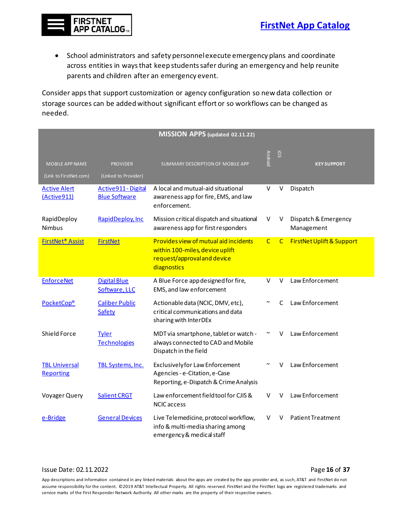

• School administrators and safety personnel execute emergency plans and coordinate across entities in ways that keep students safer during an emergency and help reunite parents and children after an emergency event.

Consider apps that support customization or agency configuration so new data collection or storage sources can be added without significant effort or so workflows can be changed as needed.

| MISSION APPS (updated 02.11.22)                  |                                             |                                                                                                                               |                |              |                                      |  |
|--------------------------------------------------|---------------------------------------------|-------------------------------------------------------------------------------------------------------------------------------|----------------|--------------|--------------------------------------|--|
| <b>MOBILE APP NAME</b><br>(Link to FirstNet.com) | <b>PROVIDER</b><br>(Linked to Provider)     | SUMMARY DESCRIPTION OF MOBILE APP                                                                                             | <b>Android</b> | <b>SO</b>    | <b>KEY SUPPORT</b>                   |  |
| <b>Active Alert</b><br>(Active911)               | Active911 - Digital<br><b>Blue Software</b> | A local and mutual-aid situational<br>awareness app for fire, EMS, and law<br>enforcement.                                    | $\vee$         | V            | Dispatch                             |  |
| RapidDeploy<br>Nimbus                            | RapidDeploy, Inc                            | Mission critical dispatch and situational<br>awareness app for first responders                                               | v              | V            | Dispatch & Emergency<br>Management   |  |
| <b>FirstNet<sup>®</sup> Assist</b>               | <b>FirstNet</b>                             | <b>Provides view of mutual aid incidents</b><br>within 100-miles, device uplift<br>request/approval and device<br>diagnostics | $\overline{C}$ | $\mathsf{C}$ | <b>FirstNet Uplift &amp; Support</b> |  |
| <b>EnforceNet</b>                                | <b>Digital Blue</b><br>Software, LLC        | A Blue Force appdesigned for fire,<br>EMS, and law enforcement                                                                | V              | $\vee$       | Law Enforcement                      |  |
| PocketCop®                                       | <b>Caliber Public</b><br>Safety             | Actionable data (NCIC, DMV, etc),<br>critical communications and data<br>sharing with InterDEx                                |                | $\mathsf{C}$ | Law Enforcement                      |  |
| Shield Force                                     | <b>Tyler</b><br><b>Technologies</b>         | MDT via smartphone, tablet or watch -<br>always connected to CAD and Mobile<br>Dispatch in the field                          |                | v            | Law Enforcement                      |  |
| <b>TBL Universal</b><br>Reporting                | <b>TBL Systems, Inc.</b>                    | <b>Exclusively for Law Enforcement</b><br>Agencies - e-Citation, e-Case<br>Reporting, e-Dispatch & Crime Analysis             |                | v            | Law Enforcement                      |  |
| Voyager Query                                    | Salient CRGT                                | Law enforcement field tool for CJIS &<br><b>NCIC</b> access                                                                   | v              | $\vee$       | Law Enforcement                      |  |
| e-Bridge                                         | <b>General Devices</b>                      | Live Telemedicine, protocol workflow,<br>info & multi-media sharing among<br>emergency & medical staff                        | v              | V            | <b>Patient Treatment</b>             |  |

#### Issue Date: 02.11.2022 Page **16** of **37**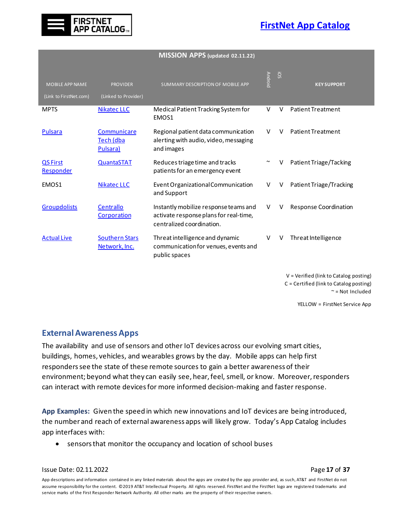



|  | MISSION APPS (updated 02.11.22) |  |
|--|---------------------------------|--|
|--|---------------------------------|--|

| <b>MOBILE APP NAME</b><br>(Link to FirstNet.com) | <b>PROVIDER</b><br>(Linked to Provider)       | SUMMARY DESCRIPTION OF MOBILE APP                                                                            | <b>Android</b>        | <b>SO!</b> | <b>KEY SUPPORT</b>       |
|--------------------------------------------------|-----------------------------------------------|--------------------------------------------------------------------------------------------------------------|-----------------------|------------|--------------------------|
| <b>MPTS</b>                                      | <b>Nikatec LLC</b>                            | Medical Patient Tracking System for<br>EMOS1                                                                 | v                     | v          | <b>Patient Treatment</b> |
| <b>Pulsara</b>                                   | Communicare<br>Tech (dba<br>Pulsara)          | Regional patient data communication<br>alerting with audio, video, messaging<br>and images                   | V                     | V          | Patient Treatment        |
| <b>QS First</b><br><b>Responder</b>              | <b>QuantaSTAT</b>                             | Reduces triage time and tracks<br>patients for an emergency event                                            | $\tilde{\phantom{a}}$ | V          | Patient Triage/Tacking   |
| EMOS1                                            | Nikatec LLC                                   | Event Organizational Communication<br>and Support                                                            | V                     | V          | Patient Triage/Tracking  |
| <b>Groupdolists</b>                              | Centrallo<br>Corporation                      | Instantly mobilize response teams and<br>activate response plans for real-time,<br>centralized coordination. | v                     | v          | Response Coordination    |
| <b>Actual Live</b>                               | <b>Southern Stars</b><br><u>Network, Inc.</u> | Threat intelligence and dynamic<br>communication for venues, events and<br>public spaces                     | v                     | V          | Threat Intelligence      |

V = Verified (link to Catalog posting) C = Certified (link to Catalog posting) ~ = Not Included

YELLOW = FirstNet Service App

#### <span id="page-17-0"></span>**External Awareness Apps**

The availability and use of sensors and other IoT devices across our evolving smart cities, buildings, homes, vehicles, and wearables grows by the day. Mobile apps can help first responderssee the state of these remote sources to gain a better awareness of their environment; beyond what they can easily see, hear, feel, smell, or know. Moreover, responders can interact with remote devices for more informed decision-making and faster response.

**App Examples:** Given the speed in which new innovations and IoT devices are being introduced, the number and reach of external awareness apps will likely grow. Today's App Catalog includes app interfaces with:

• sensors that monitor the occupancy and location of school buses

#### Issue Date: 02.11.2022 Page **17** of **37**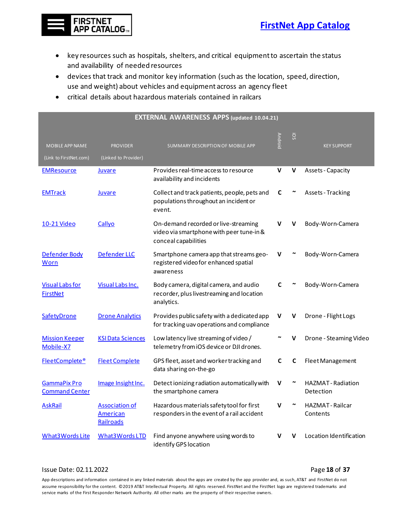

- key resources such as hospitals, shelters, and critical equipment to ascertain the status and availability of needed resources
- devices that track and monitor key information (such as the location, speed, direction, use and weight) about vehicles and equipment across an agency fleet
- critical details about hazardous materials contained in railcars

| <b>EXTERNAL AWARENESS APPS (updated 10.04.21)</b> |                                                       |                                                                                                          |                |                 |                                        |  |  |
|---------------------------------------------------|-------------------------------------------------------|----------------------------------------------------------------------------------------------------------|----------------|-----------------|----------------------------------------|--|--|
| MOBILE APP NAME<br>(Link to FirstNet.com)         | <b>PROVIDER</b><br>(Linked to Provider)               | SUMMARY DESCRIPTION OF MOBILE APP                                                                        | <b>Android</b> | SO <sub>3</sub> | <b>KEY SUPPORT</b>                     |  |  |
| <u>EMResource</u>                                 | <u>Juvare</u>                                         | Provides real-time access to resource<br>availability and incidents                                      | V              | V               | <b>Assets - Capacity</b>               |  |  |
| <b>EMTrack</b>                                    | <u>Juvare</u>                                         | Collect and track patients, people, pets and<br>populations throughout an incident or<br>event.          | C              |                 | <b>Assets - Tracking</b>               |  |  |
| 10-21 Video                                       | Callyo                                                | On-demand recorded or live-streaming<br>video via smartphone with peer tune-in &<br>conceal capabilities | v              | v               | Body-Worn-Camera                       |  |  |
| Defender Body<br>Worn                             | Defender LLC                                          | Smartphone camera app that streams geo-<br>registered video for enhanced spatial<br>awareness            | v              |                 | Body-Worn-Camera                       |  |  |
| <b>Visual Labs for</b><br><b>FirstNet</b>         | Visual Labs Inc.                                      | Body camera, digital camera, and audio<br>recorder, plus livestreaming and location<br>analytics.        | C              |                 | Body-Worn-Camera                       |  |  |
| SafetyDrone                                       | <b>Drone Analytics</b>                                | Provides public safety with a dedicated app<br>for tracking uav operations and compliance                | V              | ۷               | Drone - Flight Logs                    |  |  |
| <b>Mission Keeper</b><br>Mobile-X7                | <b>KSI Data Sciences</b>                              | Low latency live streaming of video /<br>telemetry from iOS device or DJI drones.                        |                |                 | Drone - Steaming Video                 |  |  |
| FleetComplete®                                    | <b>Fleet Complete</b>                                 | GPS fleet, asset and worker tracking and<br>data sharing on-the-go                                       | C              | C               | Fleet Management                       |  |  |
| GammaPix Pro<br><b>Command Center</b>             | Image Insight Inc.                                    | Detect ionizing radiation automatically with<br>the smartphone camera                                    | v              |                 | <b>HAZMAT</b> - Radiation<br>Detection |  |  |
| <b>AskRail</b>                                    | <b>Association of</b><br><b>American</b><br>Railroads | Hazardous materials safety tool for first<br>responders in the event of a rail accident                  | v              |                 | HAZMAT - Railcar<br>Contents           |  |  |
| What3Words Lite                                   | What3WordsLTD                                         | Find anyone anywhere using words to<br>identify GPS location                                             |                |                 | Location Identification                |  |  |

#### Issue Date: 02.11.2022 Page **18** of **37**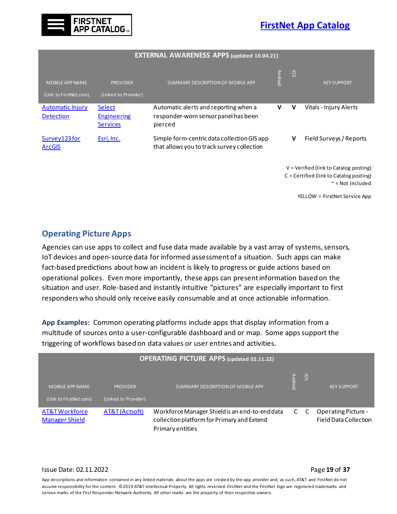

| <b>EXTERNAL AWARENESS APPS (updated 10.04.21)</b>                                     |                                                 |                                                                                           |                |     |                               |  |
|---------------------------------------------------------------------------------------|-------------------------------------------------|-------------------------------------------------------------------------------------------|----------------|-----|-------------------------------|--|
| <b>MOBILE APP NAME</b><br>(Link to FirstNet.com)                                      | <b>PROVIDER</b><br>(Linked to Provider)         | SUMMARY DESCRIPTION OF MOBILE APP                                                         | <b>Android</b> | SO. | <b>KEY SUPPORT</b>            |  |
| <b>Automatic Injury</b><br><b>Detection</b>                                           | Select<br><b>Engineering</b><br><b>Services</b> | Automatic alerts and reporting when a<br>responder-worn sensor panel has been<br>pierced  | V              | V   | Vitals - Injury Alerts        |  |
| Survey123 for<br><b>ArcGIS</b>                                                        | Esri, Inc.                                      | Simple form-centric data collection GIS app<br>that allows you to track survey collection |                | V   | Field Surveys / Reports       |  |
| $V =$ Verified (link to Catalog posting)<br>$C =$ Certified (link to Catalog posting) |                                                 |                                                                                           |                |     | $\approx$ = Not Included      |  |
|                                                                                       |                                                 |                                                                                           |                |     | YELLOW = FirstNet Service App |  |

#### <span id="page-19-1"></span><span id="page-19-0"></span>**Operating Picture Apps**

Agencies can use apps to collect and fuse data made available by a vast array of systems, sensors, IoT devices and open-source data for informed assessment of a situation. Such apps can make fact-based predictions about how an incident is likely to progress or guide actions based on operational polices. Even more importantly, these apps can present information based on the situation and user. Role-based and instantly intuitive "pictures" are especially important to first responders who should only receive easily consumable and at once actionable information.

**App Examples:** Common operating platforms include apps that display information from a multitude of sources onto a user-configurable dashboard and or map. Some apps support the triggering of workflows based on data values or user entries and activities.

| <b>OPERATING PICTURE APPS (updated 02.11.22)</b> |                                         |                                                                                                                  |         |                 |                                                     |  |  |  |
|--------------------------------------------------|-----------------------------------------|------------------------------------------------------------------------------------------------------------------|---------|-----------------|-----------------------------------------------------|--|--|--|
| <b>MOBILE APP NAME</b><br>(Link to FirstNet.com) | <b>PROVIDER</b><br>(Linked to Provider) | SUMMARY DESCRIPTION OF MOBILE APP                                                                                | Android | SO <sub>i</sub> | <b>KEY SUPPORT</b>                                  |  |  |  |
| AT&T Workforce<br><b>Manager Shield</b>          | AT&T (Actsoft)                          | Workforce Manager Shield is an end-to-end data<br>collection platform for Primary and Extend<br>Primary entities | C       | $\mathsf{C}$    | <b>Operating Picture -</b><br>Field Data Collection |  |  |  |

#### Issue Date: 02.11.2022 Page **19** of **37**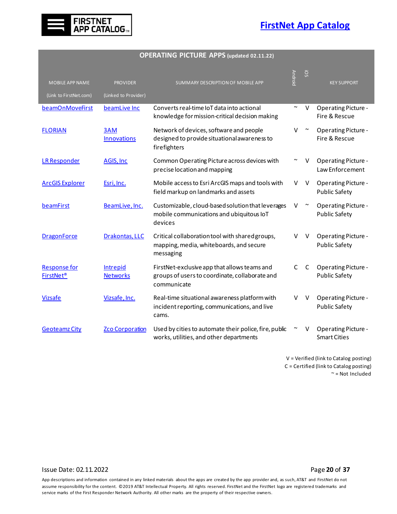

|  |  | OPERATING PICTURE APPS (updated 02.11.22) |  |
|--|--|-------------------------------------------|--|
|--|--|-------------------------------------------|--|

| MOBILE APP NAME<br>(Link to FirstNet.com) | <b>PROVIDER</b><br>(Linked to Provider) | SUMMARY DESCRIPTION OF MOBILE APP                                                                             | <b>Android</b> | <b>SO</b> | <b>KEY SUPPORT</b>                                 |
|-------------------------------------------|-----------------------------------------|---------------------------------------------------------------------------------------------------------------|----------------|-----------|----------------------------------------------------|
| beamOnMoveFirst                           | beamLive Inc                            | Converts real-time IoT data into actional<br>knowledge for mission-critical decision making                   | $\sim$         | V         | <b>Operating Picture -</b><br>Fire & Rescue        |
| <b>FLORIAN</b>                            | 3AM<br><b>Innovations</b>               | Network of devices, software and people<br>designed to provide situational awareness to<br>firefighters       | v              |           | Operating Picture -<br>Fire & Rescue               |
| <b>LR Responder</b>                       | AGIS, Inc.                              | Common Operating Picture across devices with<br>precise location and mapping                                  |                | V         | Operating Picture -<br>Law Enforcement             |
| <b>ArcGIS Explorer</b>                    | Esri, Inc.                              | Mobile access to Esri ArcGIS maps and tools with<br>field markup on landmarks and assets                      | V              | V         | <b>Operating Picture -</b><br><b>Public Safety</b> |
| beamFirst                                 | BeamLive, Inc.                          | Customizable, cloud-based solution that leverages<br>mobile communications and ubiquitous IoT<br>devices      | V              | $\sim$    | <b>Operating Picture -</b><br><b>Public Safety</b> |
| <b>DragonForce</b>                        | Drakontas, LLC                          | Critical collaboration tool with shared groups,<br>mapping, media, whiteboards, and secure<br>messaging       | v              | V         | <b>Operating Picture -</b><br><b>Public Safety</b> |
| <b>Response for</b><br><b>FirstNet®</b>   | Intrepid<br><b>Networks</b>             | FirstNet-exclusive app that allows teams and<br>groups of users to coordinate, collaborate and<br>communicate | $\mathsf{C}$   | C         | <b>Operating Picture -</b><br><b>Public Safety</b> |
| <b>Vizsafe</b>                            | Vizsafe, Inc.                           | Real-time situational awareness platform with<br>incident reporting, communications, and live<br>cams.        | v              | V         | <b>Operating Picture -</b><br><b>Public Safety</b> |
| <b>Geoteamz City</b>                      | <b>Zco Corporation</b>                  | Used by cities to automate their police, fire, public<br>works, utilities, and other departments              |                |           | <b>Operating Picture -</b><br><b>Smart Cities</b>  |

V = Verified (link to Catalog posting) C = Certified (link to Catalog posting) ~ = Not Included

#### Issue Date: 02.11.2022 **Page 20** of **37**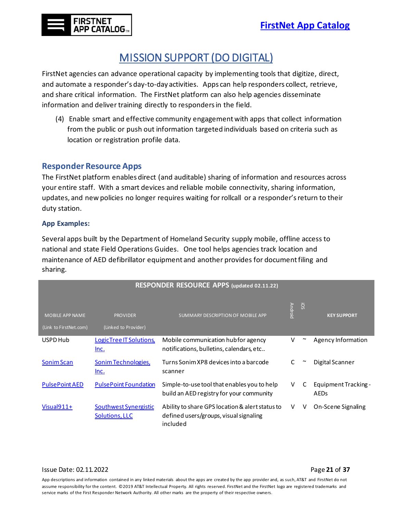# MISSION SUPPORT (DO DIGITAL)

<span id="page-21-0"></span>FirstNet agencies can advance operational capacity by implementing tools that digitize, direct, and automate a responder's day-to-day activities. Apps can help responders collect, retrieve, and share critical information. The FirstNet platform can also help agencies disseminate information and deliver training directly to responders in the field.

(4) Enable smart and effective community engagementwith apps that collect information from the public or push out information targeted individuals based on criteria such as location or registration profile data.

#### <span id="page-21-1"></span>**Responder Resource Apps**

The FirstNet platform enables direct (and auditable) sharing of information and resources across your entire staff. With a smart devices and reliable mobile connectivity, sharing information, updates, and new policies no longer requires waiting for rollcall or a responder's return to their duty station.

#### **App Examples:**

Several apps built by the Department of Homeland Security supply mobile, offline access to national and state Field Operations Guides. One tool helps agencies track location and maintenance of AED defibrillator equipment and another provides for documentfiling and sharing.

| RESPONDER RESOURCE APPS (updated 02.11.22)       |                                         |                                                                                                       |                |           |                              |  |  |  |
|--------------------------------------------------|-----------------------------------------|-------------------------------------------------------------------------------------------------------|----------------|-----------|------------------------------|--|--|--|
| <b>MOBILE APP NAME</b><br>(Link to FirstNet.com) | <b>PROVIDER</b><br>(Linked to Provider) | SUMMARY DESCRIPTION OF MOBILE APP                                                                     | <b>Android</b> | <b>SO</b> | <b>KEY SUPPORT</b>           |  |  |  |
| USPD Hub                                         | <b>LogicTree IT Solutions</b><br>Inc.   | Mobile communication hub for agency<br>notifications, bulletins, calendars, etc                       | ٧              | $\sim$    | Agency Information           |  |  |  |
| <b>Sonim Scan</b>                                | Sonim Technologies,<br>Inc.             | Turns Sonim XP8 devices into a barcode<br>scanner                                                     | C              | $\sim$    | Digital Scanner              |  |  |  |
| <b>PulsePoint AED</b>                            | <b>PulsePoint Foundation</b>            | Simple-to-use tool that enables you to help<br>build an AED registry for your community               | v              | C         | Equipment Tracking -<br>AEDs |  |  |  |
| $Visual911+$                                     | Southwest Synergistic<br>Solutions, LLC | Ability to share GPS location & alert status to<br>defined users/groups, visual signaling<br>included | V              | V         | On-Scene Signaling           |  |  |  |

#### Issue Date: 02.11.2022 Page **21** of **37**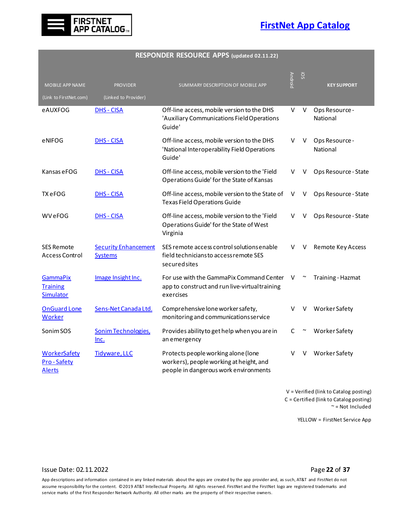

#### **RESPONDER RESOURCE APPS (updated 02.11.22)**

| <b>MOBILE APP NAME</b>                             | <b>PROVIDER</b>                               | SUMMARY DESCRIPTION OF MOBILE APP                                                                                       | <b>Androic</b> | iOS    | <b>KEY SUPPORT</b>         |
|----------------------------------------------------|-----------------------------------------------|-------------------------------------------------------------------------------------------------------------------------|----------------|--------|----------------------------|
| (Link to FirstNet.com)                             | (Linked to Provider)                          |                                                                                                                         |                |        |                            |
| eAUXFOG                                            | <b>DHS - CISA</b>                             | Off-line access, mobile version to the DHS<br>'Auxiliary Communications Field Operations<br>Guide'                      | V              | V      | Ops Resource-<br>National  |
| eNIFOG                                             | <b>DHS - CISA</b>                             | Off-line access, mobile version to the DHS<br>'National Interoperability Field Operations<br>Guide'                     | v              | V      | Ops Resource -<br>National |
| Kansas e FOG                                       | <b>DHS - CISA</b>                             | Off-line access, mobile version to the 'Field<br>Operations Guide' for the State of Kansas                              | V              | V      | Ops Resource - State       |
| TX eFOG                                            | DHS - CISA                                    | Off-line access, mobile version to the State of<br><b>Texas Field Operations Guide</b>                                  | V              | V      | Ops Resource - State       |
| <b>WVeFOG</b>                                      | <b>DHS - CISA</b>                             | Off-line access, mobile version to the 'Field<br>Operations Guide' for the State of West<br>Virginia                    | v              | v      | Ops Resource - State       |
| <b>SES Remote</b><br><b>Access Control</b>         | <b>Security Enhancement</b><br><b>Systems</b> | SES remote access control solutions enable<br>field technicians to access remote SES<br>secured sites                   | v              | V      | Remote Key Access          |
| <b>GammaPix</b><br><b>Training</b><br>Simulator    | Image Insight Inc.                            | For use with the GammaPix Command Center<br>app to construct and run live-virtual training<br>exercises                 | V              | $\sim$ | <b>Training - Hazmat</b>   |
| <b>OnGuard Lone</b><br><b>Worker</b>               | Sens-Net Canada Ltd.                          | Comprehensive lone worker safety,<br>monitoring and communications service                                              | v              |        | <b>Worker Safety</b>       |
| Sonim SOS                                          | Sonim Technologies,<br><u>lnc.</u>            | Provides ability to get help when you are in<br>an emergency                                                            | C              |        | Worker Safety              |
| <b>WorkerSafety</b><br><b>Pro-Safety</b><br>Alerts | Tidyware, LLC                                 | Protects people working alone (lone<br>workers), people working at height, and<br>people in dangerous work environments | v              | v      | Worker Safety              |

V = Verified (link to Catalog posting) C = Certified (link to Catalog posting) ~ = Not Included

YELLOW = FirstNet Service App

#### <span id="page-22-0"></span>Issue Date: 02.11.2022 Page **22** of **37**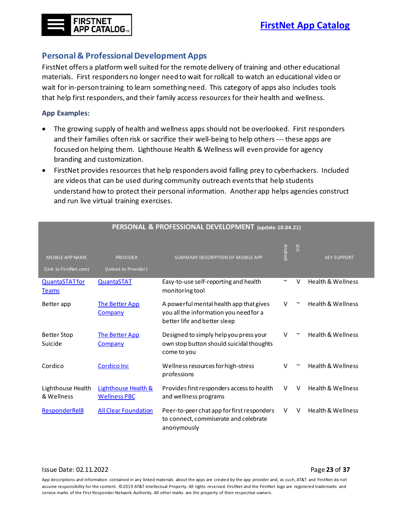# **FIRSTNET APP CATALOG**

## <span id="page-23-0"></span>**Personal & Professional Development Apps**

FirstNet offers a platform well suited for the remote delivery of training and other educational materials. First responders no longer need to wait for rollcall to watch an educational video or wait for in-person training to learn something need. This category of apps also includes tools that help first responders, and their family access resources for their health and wellness.

#### **App Examples:**

- The growing supply of health and wellness apps should not be overlooked. First responders and their families often risk or sacrifice their well-being to help others ---these apps are focused on helping them. Lighthouse Health & Wellness will even provide for agency branding and customization.
- FirstNet provides resources that help responders avoid falling prey to cyberhackers. Included are videos that can be used during community outreach events that help students understand how to protect their personal information. Another app helps agencies construct and run live virtual training exercises.

| <b>MOBILE APP NAME</b><br>(Link to FirstNet.com) | <b>PROVIDER</b><br>(Linked to Provider)               | SUMMARY DESCRIPTION OF MOBILE APP                                                                                 | <b>Android</b>        | SO.    | <b>KEY SUPPORT</b>           |
|--------------------------------------------------|-------------------------------------------------------|-------------------------------------------------------------------------------------------------------------------|-----------------------|--------|------------------------------|
| <b>QuantaSTAT</b> for<br><b>Teams</b>            | <b>QuantaSTAT</b>                                     | Easy-to-use self-reporting and health<br>monitoring tool                                                          | $\tilde{\phantom{a}}$ | $\vee$ | <b>Health &amp; Wellness</b> |
| Better app                                       | <b>The Better App</b><br><b>Company</b>               | A powerful mental health app that gives<br>you all the information you need for a<br>better life and better sleep | V                     | $\sim$ | <b>Health &amp; Wellness</b> |
| Better Stop<br>Suicide                           | <b>The Better App</b><br>Company                      | Designed to simply help you press your<br>own stop button should suicidal thoughts<br>come to you                 | V                     | $\sim$ | <b>Health &amp; Wellness</b> |
| Cordico                                          | <b>Cordico Inc</b>                                    | Wellness resources for high-stress<br>professions                                                                 | V                     | $\sim$ | <b>Health &amp; Wellness</b> |
| Lighthouse Health<br>& Wellness                  | <b>Lighthouse Health &amp;</b><br><b>Wellness PBC</b> | Provides first responders access to health<br>and wellness programs                                               | V                     | $\vee$ | <b>Health &amp; Wellness</b> |
| ResponderRel8                                    | <b>All Clear Foundation</b>                           | Peer-to-peer chat app for first responders<br>to connect, commiserate and celebrate<br>anonymously                | V                     | v      | <b>Health &amp; Wellness</b> |

#### **PERSONAL & PROFESSIONAL DEVELOPMENT (update 10.04.21)**

#### Issue Date: 02.11.2022 Page **23** of **37**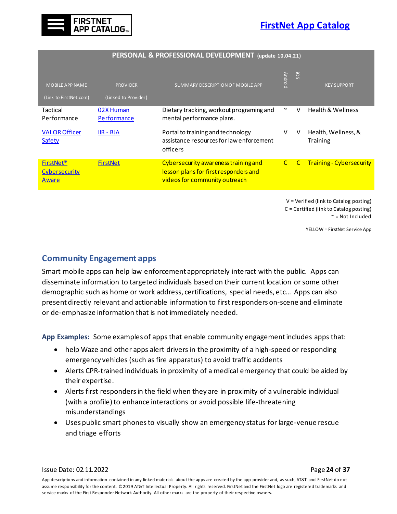

| PERSONAL & PROFESSIONAL DEVELOPMENT (update 10.04.21)               |                                         |                                                                                                                |                       |                 |                                                                                                                   |  |  |
|---------------------------------------------------------------------|-----------------------------------------|----------------------------------------------------------------------------------------------------------------|-----------------------|-----------------|-------------------------------------------------------------------------------------------------------------------|--|--|
| <b>MOBILE APP NAME</b><br>(Link to FirstNet.com)                    | <b>PROVIDER</b><br>(Linked to Provider) | SUMMARY DESCRIPTION OF MOBILE APP                                                                              | <b>Android</b>        | SO <sub>i</sub> | <b>KEY SUPPORT</b>                                                                                                |  |  |
| Tactical<br>Performance                                             | 02X Human<br><b>Performance</b>         | Dietary tracking, workout programing and<br>mental performance plans.                                          | $\tilde{\phantom{a}}$ | V               | <b>Health &amp; Wellness</b>                                                                                      |  |  |
| <b>VALOR Officer</b><br><b>Safety</b>                               | <u> IIR - BJA</u>                       | Portal to training and technology<br>assistance resources for law enforcement<br>officers                      | V                     | V               | Health, Wellness, &<br><b>Training</b>                                                                            |  |  |
| <b>FirstNet<sup>®</sup></b><br><b>Cybersecurity</b><br><b>Aware</b> | <b>FirstNet</b>                         | Cybersecurity awareness training and<br>lesson plans for first responders and<br>videos for community outreach | $\mathsf{C}$          | $\mathsf{C}$    | <b>Training - Cybersecurity</b>                                                                                   |  |  |
|                                                                     |                                         |                                                                                                                |                       |                 | $V = Verified (link to Catalog posting)$<br>$C =$ Certified (link to Catalog posting)<br>$\approx$ = Not Included |  |  |

YELLOW = FirstNet Service App

#### <span id="page-24-1"></span><span id="page-24-0"></span>**Community Engagement apps**

Smart mobile apps can help law enforcement appropriately interact with the public. Apps can disseminate information to targeted individuals based on their current location or some other demographic such as home or work address, certifications, special needs, etc… Apps can also present directly relevant and actionable information to first responders on-scene and eliminate or de-emphasize information that is not immediately needed.

**App Examples:** Some examples of apps that enable community engagement includes apps that:

- help Waze and other apps alert drivers in the proximity of a high-speed or responding emergency vehicles (such as fire apparatus) to avoid traffic accidents
- Alerts CPR-trained individuals in proximity of a medical emergency that could be aided by their expertise.
- Alerts first responders in the field when they are in proximity of a vulnerable individual (with a profile) to enhance interactions or avoid possible life-threatening misunderstandings
- Uses public smart phones to visually show an emergency status for large-venue rescue and triage efforts

Issue Date: 02.11.2022 Page **24** of **37**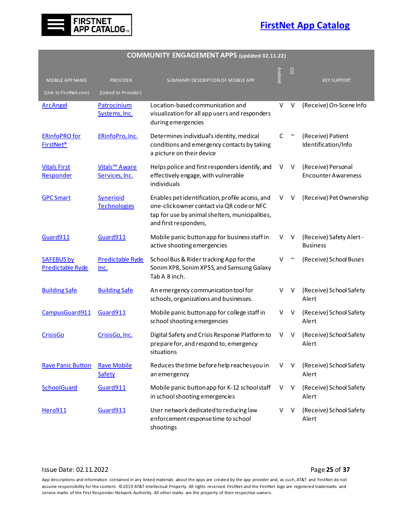

| MOBILE APP NAME                              | <b>PROVIDER</b>                                      | SUMMARY DESCRIPTION OF MOBILE APP                                                                                                                                         | <b>Android</b> | iOS    | <b>KEY SUPPORT</b>                               |
|----------------------------------------------|------------------------------------------------------|---------------------------------------------------------------------------------------------------------------------------------------------------------------------------|----------------|--------|--------------------------------------------------|
| (Link to FirstNet.com)<br><b>ArcAngel</b>    | (Linked to Provider)<br>Patrocinium<br>Systems, Inc. | Location-based communication and<br>visualization for all app users and responders<br>during emergencies                                                                  | V              | $\vee$ | (Receive) On-Scene Info                          |
| <b>ERinfoPRO</b> for<br><b>FirstNet®</b>     | ERinfoPro, Inc.                                      | Determines individual's identity, medical<br>conditions and emergency contacts by taking<br>a picture on their device                                                     | C              | $\sim$ | (Receive) Patient<br>Identification/Info         |
| <b>Vitals First</b><br>Responder             | Vitals <sup>™</sup> Aware<br>Services, Inc.          | Helps police and first responders identify, and<br>effectively engage, with vulnerable<br>individuals                                                                     | V              | V      | (Receive) Personal<br><b>Encounter Awareness</b> |
| <b>GPC Smart</b>                             | Synerioid<br><b>Technologies</b>                     | Enables pet identification, profile access, and<br>one-click owner contact via QR code or NFC<br>tap for use by animal shelters, municipalities,<br>and first responders, | V              | V      | (Receive) Pet Ownership                          |
| Guard911                                     | Guard911                                             | Mobile panic button app for business staff in<br>active shooting emergencies                                                                                              | V              | V      | (Receive) Safety Alert -<br><b>Business</b>      |
| <b>SAFEBUS by</b><br><b>Predictable Ryde</b> | <b>Predictable Ryde</b><br>Inc.                      | School Bus & Rider tracking App for the<br>Sonim XP8, Sonim XP5S, and Samsung Galaxy<br>Tab A 8 inch.                                                                     | V              | $\sim$ | (Receive) School Buses                           |
| <b>Building Safe</b>                         | <b>Building Safe</b>                                 | An emergency communication tool for<br>schools, organizations and businesses.                                                                                             | V              | V      | (Receive) School Safety<br>Alert                 |
| CampusGuard911                               | Guard911                                             | Mobile panic button app for college staff in<br>school shooting emergencies                                                                                               | V              | V      | (Receive) School Safety<br>Alert                 |
| <b>CrisisGo</b>                              | CrisisGo, Inc.                                       | Digital Safety and Crisis Response Platform to<br>prepare for, and respond to, emergency<br>situations                                                                    | V              | V      | (Receive) School Safety<br>Alert                 |
| <b>Rave Panic Button</b>                     | <b>Rave Mobile</b><br>Safety                         | Reduces the time before help reaches you in<br>an emergency                                                                                                               | V              | V      | (Receive) School Safety<br>Alert                 |
| <b>SchoolGuard</b>                           | Guard911                                             | Mobile panic button app for K-12 schoolstaff<br>in school shooting emergencies                                                                                            | V              | V      | (Receive) School Safety<br>Alert                 |
| Hero911                                      | Guard911                                             | User network dedicated to reducing law<br>enforcement response time to school<br>shootings                                                                                | V              | V      | (Receive) School Safety<br>Alert                 |

# **COMMUNITY ENGAGEMENT APPS (updated 02.11.22)**

#### Issue Date: 02.11.2022 **Page 25** of **37**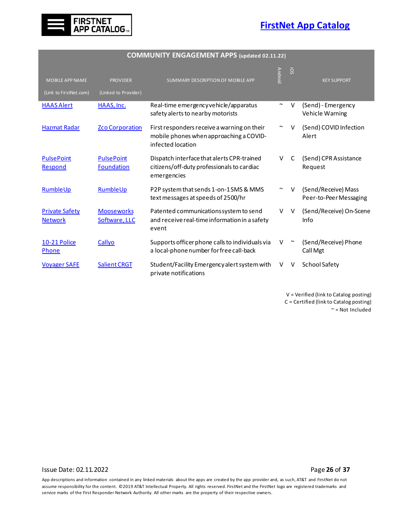

| <b>MOBILE APP NAME</b>                  | <b>PROVIDER</b>                        | SUMMARY DESCRIPTION OF MOBILE APP                                                                           | <b>Android</b>        | <b>SO</b>    | <b>KEY SUPPORT</b>                            |
|-----------------------------------------|----------------------------------------|-------------------------------------------------------------------------------------------------------------|-----------------------|--------------|-----------------------------------------------|
| (Link to FirstNet.com)                  | (Linked to Provider)                   |                                                                                                             |                       |              |                                               |
| <b>HAAS Alert</b>                       | HAAS. Inc.                             | Real-time emergency vehicle/apparatus<br>safety alerts to nearby motorists                                  | $\tilde{\phantom{a}}$ | V            | (Send) - Emergency<br>Vehicle Warning         |
| <b>Hazmat Radar</b>                     | <b>Zco Corporation</b>                 | First responders receive a warning on their<br>mobile phones when approaching a COVID-<br>infected location | $\tilde{\phantom{a}}$ | v            | (Send) COVID Infection<br>Alert               |
| <b>PulsePoint</b><br>Respond            | <b>PulsePoint</b><br><b>Foundation</b> | Dispatch interface that alerts CPR-trained<br>citizens/off-duty professionals to cardiac<br>emergencies     | V                     | C            | (Send) CPR Assistance<br>Request              |
| RumbleUp                                | RumbleUp                               | P2P system that sends 1-on-1 SMS & MMS<br>text messages at speeds of 2500/hr                                | $\tilde{\phantom{a}}$ | $\mathsf{v}$ | (Send/Receive) Mass<br>Peer-to-Peer Messaging |
| <b>Private Safety</b><br><b>Network</b> | <b>Mooseworks</b><br>Software, LLC     | Patented communications system to send<br>and receive real-time information in a safety<br>event            | v                     | $\vee$       | (Send/Receive) On-Scene<br>Info               |
| 10-21 Police<br>Phone                   | Callyo                                 | Supports officer phone calls to individuals via<br>a local-phone number for free call-back                  | V                     | $\sim$       | (Send/Receive) Phone<br>Call Mgt              |
| <b>Voyager SAFE</b>                     | <b>Salient CRGT</b>                    | Student/Facility Emergency alert system with<br>private notifications                                       | V                     | V            | School Safety                                 |

#### **COMMUNITY ENGAGEMENT APPS (updated 02.11.22)**

V = Verified (link to Catalog posting) C = Certified (link to Catalog posting) ~ = Not Included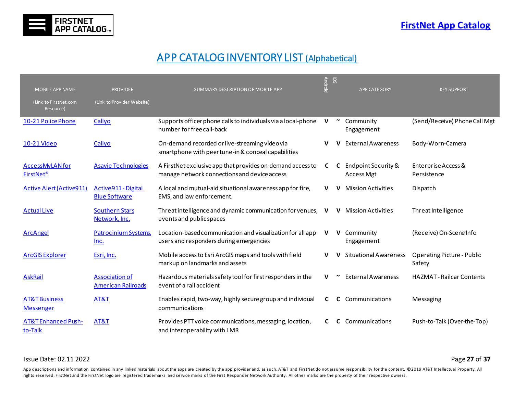

# APP CATALOG INVENTORY LIST (Alphabetical)

<span id="page-27-0"></span>

| MOBILE APP NAME                                       | <b>PROVIDER</b>                                    | SUMMARY DESCRIPTION OF MOBILE APP                                                                          | <b>Android</b> | SO | <b>APP CATEGORY</b>                      | <b>KEY SUPPORT</b>                          |
|-------------------------------------------------------|----------------------------------------------------|------------------------------------------------------------------------------------------------------------|----------------|----|------------------------------------------|---------------------------------------------|
| (Link to FirstNet.com<br>Resource)                    | (Link to Provider Website)                         |                                                                                                            |                |    |                                          |                                             |
| 10-21 Police Phone                                    | Callyo                                             | Supports officer phone calls to individuals via a local-phone<br>number for free call-back                 | v              |    | Community<br>Engagement                  | (Send/Receive) Phone Call Mgt               |
| 10-21 Video                                           | Callyo                                             | On-demand recorded or live-streaming videovia<br>smartphone with peer tune-in & conceal capabilities       | v              |    | <b>External Awareness</b>                | Body-Worn-Camera                            |
| <b>AccessMyLAN</b> for<br><b>FirstNet<sup>®</sup></b> | <b>Asavie Technologies</b>                         | A FirstNet exclusive app that provides on-demand access to<br>manage network connections and device access | C              | C  | Endpoint Security &<br><b>Access Mgt</b> | Enterprise Access &<br>Persistence          |
| <b>Active Alert (Active911)</b>                       | Active911 - Digital<br><b>Blue Software</b>        | A local and mutual-aid situational awareness app for fire,<br>EMS, and law enforcement.                    | v              |    | <b>Mission Activities</b>                | Dispatch                                    |
| <b>Actual Live</b>                                    | <b>Southern Stars</b><br>Network, Inc.             | Threat intelligence and dynamic communication for venues,<br>events and public spaces                      | v              | v  | <b>Mission Activities</b>                | Threat Intelligence                         |
| <b>ArcAngel</b>                                       | <b>Patrocinium Systems</b><br><u>Inc.</u>          | Location-based communication and visualization for all app<br>users and responders during emergencies      | V              | v  | Community<br>Engagement                  | (Receive) On-Scene Info                     |
| <b>ArcGIS Explorer</b>                                | Esri, Inc.                                         | Mobile access to Esri ArcGIS maps and tools with field<br>markup on landmarks and assets                   |                |    | <b>Situational Awareness</b>             | <b>Operating Picture - Public</b><br>Safety |
| <b>AskRail</b>                                        | <b>Association of</b><br><b>American Railroads</b> | Hazardous materials safety tool for first responders in the<br>event of a rail accident                    | v              |    | <b>External Awareness</b>                | <b>HAZMAT-Railcar Contents</b>              |
| <b>AT&amp;T Business</b><br><b>Messenger</b>          | AT&T                                               | Enables rapid, two-way, highly secure group and individual<br>communications                               | C              | C  | Communications                           | Messaging                                   |
| <b>AT&amp;T Enhanced Push-</b><br>to-Talk             | AT&T                                               | Provides PTT voice communications, messaging, location,<br>and interoperability with LMR                   | C              |    | Communications                           | Push-to-Talk (Over-the-Top)                 |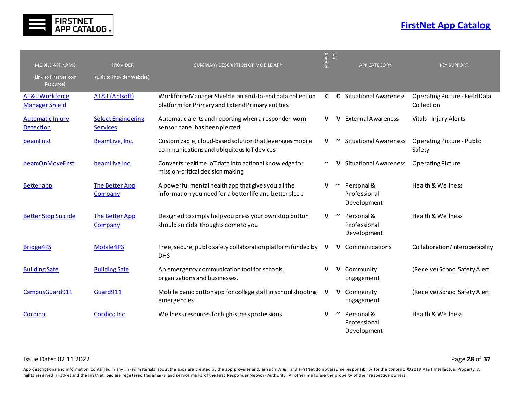

| MOBILE APP NAME                                    | <b>PROVIDER</b>                              | SUMMARY DESCRIPTION OF MOBILE APP                                                                              | <b>Android</b> | SO           | <b>APP CATEGORY</b>                       | <b>KEY SUPPORT</b>                                  |
|----------------------------------------------------|----------------------------------------------|----------------------------------------------------------------------------------------------------------------|----------------|--------------|-------------------------------------------|-----------------------------------------------------|
| (Link to FirstNet.com<br>Resource)                 | (Link to Provider Website)                   |                                                                                                                |                |              |                                           |                                                     |
| <b>AT&amp;T Workforce</b><br><b>Manager Shield</b> | AT&T (Actsoft)                               | Workforce Manager Shield is an end-to-end data collection<br>platform for Primary and Extend Primary entities  | C              |              | <b>C</b> Situational Awareness            | <b>Operating Picture - Field Data</b><br>Collection |
| <b>Automatic Injury</b><br><b>Detection</b>        | <b>Select Engineering</b><br><b>Services</b> | Automatic alerts and reporting when a responder-worn<br>sensor panel has been pierced                          | v              | v            | <b>External Awareness</b>                 | Vitals - Injury Alerts                              |
| beamFirst                                          | BeamLive, Inc.                               | Customizable, cloud-based solution that leverages mobile<br>communications and ubiquitous IoT devices          | v              |              | <b>Situational Awareness</b>              | <b>Operating Picture - Public</b><br>Safety         |
| beamOnMoveFirst                                    | beamLive Inc                                 | Converts realtime IoT data into actional knowledge for<br>mission-critical decision making                     |                |              | <b>Situational Awareness</b>              | <b>Operating Picture</b>                            |
| <b>Better</b> app                                  | The Better App<br>Company                    | A powerful mental health app that gives you all the<br>information you need for a better life and better sleep | v              |              | Personal &<br>Professional<br>Development | <b>Health &amp; Wellness</b>                        |
| <b>Better Stop Suicide</b>                         | The Better App<br>Company                    | Designed to simply help you press your own stop button<br>should suicidal thoughts come to you                 | v              | $\sim$       | Personal &<br>Professional<br>Development | <b>Health &amp; Wellness</b>                        |
| Bridge4PS                                          | Mobile4PS                                    | Free, secure, public safety collaboration platform funded by<br><b>DHS</b>                                     | <u>v</u>       | v            | Communications                            | Collaboration/Interoperability                      |
| <b>Building Safe</b>                               | <b>Building Safe</b>                         | An emergency communication tool for schools,<br>organizations and businesses.                                  | v              | V            | Community<br>Engagement                   | (Receive) School Safety Alert                       |
| CampusGuard911                                     | Guard911                                     | Mobile panic button app for college staff in school shooting<br>emergencies                                    | V              | $\mathsf{v}$ | Community<br>Engagement                   | (Receive) School Safety Alert                       |
| Cordico                                            | <b>Cordico Inc</b>                           | Wellness resources for high-stress professions                                                                 | v              |              | Personal &<br>Professional<br>Development | Health & Wellness                                   |

#### Issue Date: 02.11.2022 Page **28** of **37**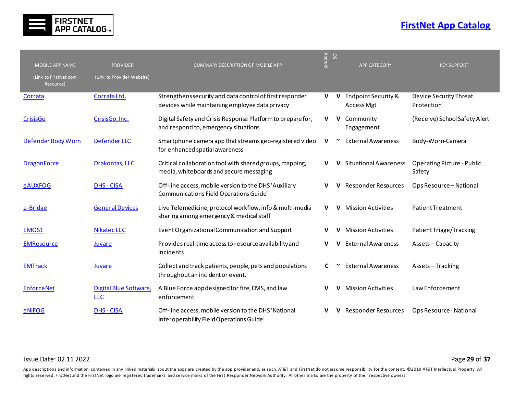

| <b>MOBILE APP NAME</b>             | <b>PROVIDER</b>                      | SUMMARY DESCRIPTION OF MOBILE APP                                                                           | <b>Android</b> | ios | <b>APP CATEGORY</b>                      | <b>KEY SUPPORT</b>                          |
|------------------------------------|--------------------------------------|-------------------------------------------------------------------------------------------------------------|----------------|-----|------------------------------------------|---------------------------------------------|
| (Link to FirstNet.com<br>Resource) | (Link to Provider Website)           |                                                                                                             |                |     |                                          |                                             |
| Corrata                            | Corrata Ltd.                         | Strengthens security and data control of first responder<br>devices while maintaining employee data privacy | V              | V   | Endpoint Security &<br><b>Access Mgt</b> | Device Security Threat<br>Protection        |
| <b>CrisisGo</b>                    | CrisisGo, Inc.                       | Digital Safety and Crisis Response Platform to prepare for,<br>and respond to, emergency situations         | v              |     | V Community<br>Engagement                | (Receive) School Safety Alert               |
| Defender Body Worn                 | Defender LLC                         | Smartphone camera app that streams geo-registered video<br>for enhanced spatial awareness                   | V              |     | <b>External Awareness</b>                | Body-Worn-Camera                            |
| <b>DragonForce</b>                 | Drakontas, LLC                       | Critical collaboration tool with shared groups, mapping,<br>media, whiteboards and secure messaging         |                |     | <b>Situational Awareness</b>             | <b>Operating Picture - Public</b><br>Safety |
| <b>eAUXFOG</b>                     | <b>DHS - CISA</b>                    | Off-line access, mobile version to the DHS 'Auxiliary<br>Communications Field Operations Guide'             | v              |     | <b>Responder Resources</b>               | Ops Resource - National                     |
| e-Bridge                           | <b>General Devices</b>               | Live Telemedicine, protocol workflow, info & multi-media<br>sharing among emergency & medical staff         | V              | v   | <b>Mission Activities</b>                | Patient Treatment                           |
| EMOS1                              | <b>Nikatec LLC</b>                   | Event Organizational Communication and Support                                                              | v              |     | <b>Mission Activities</b>                | Patient Triage/Tracking                     |
| <b>EMResource</b>                  | <b>Juvare</b>                        | Provides real-time access to resource availability and<br>incidents                                         | v              | v   | <b>External Awareness</b>                | Assets-Capacity                             |
| <b>EMTrack</b>                     | Juvare                               | Collect and track patients, people, pets and populations<br>throughout an incident or event.                | C              |     | <b>External Awareness</b>                | Assets-Tracking                             |
| <b>EnforceNet</b>                  | Digital Blue Software,<br><b>LLC</b> | A Blue Force app designed for fire, EMS, and law<br>enforcement                                             |                | v   | <b>Mission Activities</b>                | Law Enforcement                             |
| <b>eNIFOG</b>                      | <b>DHS - CISA</b>                    | Off-line access, mobile version to the DHS 'National<br>Interoperability Field Operations Guide'            |                |     | Responder Resources                      | Ops Resource - National                     |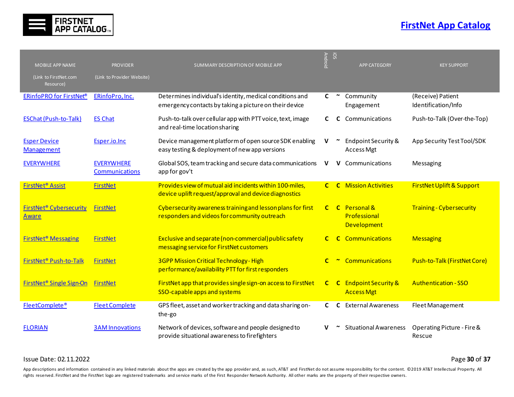

| <b>MOBILE APP NAME</b>                                    | <b>PROVIDER</b>                            | SUMMARY DESCRIPTION OF MOBILE APP                                                                                  | <b>Android</b> | SO           | <b>APP CATEGORY</b>                                | <b>KEY SUPPORT</b>                       |
|-----------------------------------------------------------|--------------------------------------------|--------------------------------------------------------------------------------------------------------------------|----------------|--------------|----------------------------------------------------|------------------------------------------|
| (Link to FirstNet.com<br>Resource)                        | (Link to Provider Website)                 |                                                                                                                    |                |              |                                                    |                                          |
| <b>ERinfoPRO for FirstNet®</b>                            | ERinfoPro, Inc.                            | Determines individual's identity, medical conditions and<br>emergency contacts by taking a picture on their device | C              | $\sim$       | Community<br>Engagement                            | (Receive) Patient<br>Identification/Info |
| <b>ESChat (Push-to-Talk)</b>                              | <b>ES Chat</b>                             | Push-to-talk over cellular app with PTT voice, text, image<br>and real-time location sharing                       | C.             |              | Communications                                     | Push-to-Talk (Over-the-Top)              |
| <b>Esper Device</b><br>Management                         | Esper.io.Inc                               | Device management platform of open source SDK enabling<br>easy testing & deployment of new app versions            | V              |              | Endpoint Security &<br>Access Mgt                  | App Security Test Tool/SDK               |
| <b>EVERYWHERE</b>                                         | <b>EVERYWHERE</b><br><b>Communications</b> | Global SOS, team tracking and secure data communications<br>app for gov't                                          | v              | v            | Communications                                     | Messaging                                |
| FirstNet <sup>®</sup> Assist                              | <b>FirstNet</b>                            | Provides view of mutual aid incidents within 100-miles,<br>device uplift request/approval and device diagnostics   | $\mathbf{C}$   |              | <b>C</b> Mission Activities                        | <b>FirstNet Uplift &amp; Support</b>     |
| <b>FirstNet<sup>®</sup></b> Cybersecurity<br><b>Aware</b> | FirstNet                                   | Cybersecurity awareness training and lesson plans for first<br>responders and videos for community outreach        | $\mathbf{C}$   |              | C Personal &<br>Professional<br><b>Development</b> | <b>Training - Cybersecurity</b>          |
| <b>FirstNet<sup>®</sup> Messaging</b>                     | <b>FirstNet</b>                            | Exclusive and separate (non-commercial) public safety<br>messaging service for FirstNet customers                  | $\mathbf{C}$   | $\mathbf{C}$ | <b>Communications</b>                              | <b>Messaging</b>                         |
| FirstNet <sup>®</sup> Push-to-Talk                        | <b>FirstNet</b>                            | 3GPP Mission Critical Technology - High<br>performance/availability PTT for first responders                       | $\mathbf{C}$   |              | <b>Communications</b>                              | Push-to-Talk (FirstNet Core)             |
| <b>FirstNet<sup>®</sup> Single Sign-On</b>                | <b>FirstNet</b>                            | FirstNet app that provides single sign-on access to FirstNet<br>SSO-capable apps and systems                       | $\mathbf{C}$   |              | <b>C</b> Endpoint Security &<br><b>Access Mgt</b>  | <b>Authentication - SSO</b>              |
| FleetComplete®                                            | <b>Fleet Complete</b>                      | GPS fleet, asset and worker tracking and data sharing on-<br>the-go                                                | C.             | C            | <b>External Awareness</b>                          | Fleet Management                         |
| <b>FLORIAN</b>                                            | <b>3AM Innovations</b>                     | Network of devices, software and people designed to<br>provide situational awareness to firefighters               |                |              | <b>Situational Awareness</b>                       | Operating Picture - Fire &<br>Rescue     |

#### Issue Date: 02.11.2022 Page **30** of **37**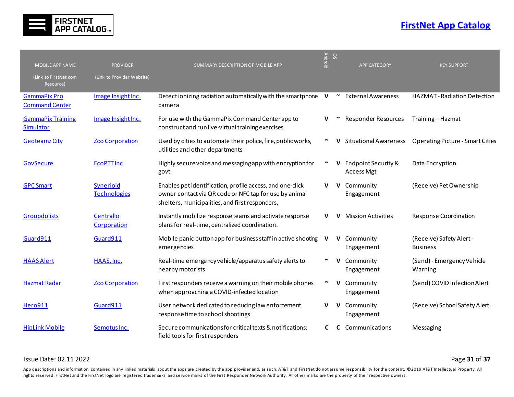

| MOBILE APP NAME                              | <b>PROVIDER</b>                  | SUMMARY DESCRIPTION OF MOBILE APP                                                                                                                                      | <b>Android</b>        | SO!    | <b>APP CATEGORY</b>               | <b>KEY SUPPORT</b>                          |
|----------------------------------------------|----------------------------------|------------------------------------------------------------------------------------------------------------------------------------------------------------------------|-----------------------|--------|-----------------------------------|---------------------------------------------|
| (Link to FirstNet.com<br>Resource)           | (Link to Provider Website)       |                                                                                                                                                                        |                       |        |                                   |                                             |
| <b>GammaPix Pro</b><br><b>Command Center</b> | Image Insight Inc.               | Detect ionizing radiation automatically with the smartphone V<br>camera                                                                                                |                       | $\sim$ | <b>External Awareness</b>         | <b>HAZMAT</b> - Radiation Detection         |
| <b>GammaPix Training</b><br>Simulator        | Image Insight Inc.               | For use with the GammaPix Command Center app to<br>construct and runlive-virtual training exercises                                                                    | V                     |        | Responder Resources               | Training - Hazmat                           |
| <b>Geoteamz City</b>                         | <b>Zco Corporation</b>           | Used by cities to automate their police, fire, public works,<br>utilities and other departments                                                                        |                       |        | <b>Situational Awareness</b>      | <b>Operating Picture - Smart Cities</b>     |
| GovSecure                                    | <b>ECOPTT Inc</b>                | Highly secure voice and messaging app with encryption for<br>govt                                                                                                      | $\tilde{\phantom{a}}$ | v      | Endpoint Security &<br>Access Mgt | Data Encryption                             |
| <b>GPC Smart</b>                             | Synerioid<br><b>Technologies</b> | Enables pet identification, profile access, and one-click<br>owner contact via QR code or NFC tap for use by animal<br>shelters, municipalities, and first responders, | v                     | v      | Community<br>Engagement           | (Receive) Pet Ownership                     |
| <b>Groupdolists</b>                          | Centrallo<br>Corporation         | Instantly mobilize response teams and activate response<br>plans for real-time, centralized coordination.                                                              | v                     | v      | <b>Mission Activities</b>         | Response Coordination                       |
| Guard911                                     | Guard911                         | Mobile panic button app for business staff in active shooting<br>emergencies                                                                                           | V                     | v      | Community<br>Engagement           | (Receive) Safety Alert -<br><b>Business</b> |
| <b>HAAS Alert</b>                            | HAAS, Inc.                       | Real-time emergency vehicle/apparatus safety alerts to<br>nearby motorists                                                                                             |                       |        | Community<br>Engagement           | (Send) - Emergency Vehicle<br>Warning       |
| <b>Hazmat Radar</b>                          | <b>Zco Corporation</b>           | First responders receive a warning on their mobile phones<br>when approaching a COVID-infected location                                                                |                       | V      | Community<br>Engagement           | (Send) COVID Infection Alert                |
| <b>Hero911</b>                               | Guard911                         | User network dedicated to reducing law enforcement<br>response time to school shootings                                                                                | v                     | V      | Community<br>Engagement           | (Receive) School Safety Alert               |
| <b>HipLink Mobile</b>                        | Semotus Inc.                     | Secure communications for critical texts & notifications;<br>field tools for first responders                                                                          |                       |        | Communications                    | Messaging                                   |

Issue Date: 02.11.2022 Page **31** of **37**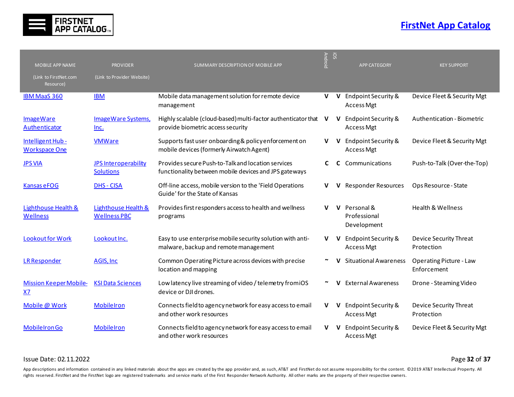

| MOBILE APP NAME                                   | <b>PROVIDER</b>                                 | SUMMARY DESCRIPTION OF MOBILE APP                                                                           | <b>Android</b> | SO!          | <b>APP CATEGORY</b>                          | <b>KEY SUPPORT</b>                     |
|---------------------------------------------------|-------------------------------------------------|-------------------------------------------------------------------------------------------------------------|----------------|--------------|----------------------------------------------|----------------------------------------|
| (Link to FirstNet.com<br>Resource)                | (Link to Provider Website)                      |                                                                                                             |                |              |                                              |                                        |
| <b>IBM MaaS 360</b>                               | <b>IBM</b>                                      | Mobile data management solution for remote device<br>management                                             |                | $V$ $V$      | <b>Endpoint Security &amp;</b><br>Access Mgt | Device Fleet & Security Mgt            |
| <b>ImageWare</b><br><b>Authenticator</b>          | Image Ware Systems,<br>Inc.                     | Highly scalable (cloud-based) multi-factor authenticator that<br>provide biometric access security          | v              | $\mathbf{V}$ | Endpoint Security &<br>Access Mgt            | Authentication - Biometric             |
| Intelligent Hub -<br><b>Workspace One</b>         | <b>VMWare</b>                                   | Supports fast user onboarding & policy enforcement on<br>mobile devices (formerly Airwatch Agent)           | V              | $\mathbf{V}$ | Endpoint Security &<br>Access Mgt            | Device Fleet & Security Mgt            |
| <b>JPS VIA</b>                                    | <b>JPS Interoperability</b><br><b>Solutions</b> | Provides secure Push-to-Talk and location services<br>functionality between mobile devices and JPS gateways | C              | C            | Communications                               | Push-to-Talk (Over-the-Top)            |
| Kansas eFOG                                       | <b>DHS - CISA</b>                               | Off-line access, mobile version to the 'Field Operations<br>Guide' for the State of Kansas                  | v              | v            | <b>Responder Resources</b>                   | Ops Resource - State                   |
| <b>Lighthouse Health &amp;</b><br><b>Wellness</b> | Lighthouse Health &<br><b>Wellness PBC</b>      | Provides first responders access to health and wellness<br>programs                                         | $\mathbf{V}$   | $\mathbf{V}$ | Personal &<br>Professional<br>Development    | <b>Health &amp; Wellness</b>           |
| Lookout for Work                                  | Lookout Inc.                                    | Easy to use enterprise mobile security solution with anti-<br>malware, backup and remote management         | V              | $\mathbf{V}$ | Endpoint Security &<br><b>Access Mgt</b>     | Device Security Threat<br>Protection   |
| <b>LR Responder</b>                               | <b>AGIS, Inc.</b>                               | Common Operating Picture across devices with precise<br>location and mapping                                |                |              | <b>Situational Awareness</b>                 | Operating Picture - Law<br>Enforcement |
| <b>Mission Keeper Mobile-</b><br>XZ               | <b>KSI Data Sciences</b>                        | Low latency live streaming of video / telemetry from iOS<br>device or DJI drones.                           |                | v            | <b>External Awareness</b>                    | Drone - Steaming Video                 |
| Mobile @ Work                                     | <b>MobileIron</b>                               | Connects field to agency network for easy access to email<br>and other work resources                       | V              | $\mathbf{V}$ | Endpoint Security &<br>Access Mgt            | Device Security Threat<br>Protection   |
| <b>MobileIronGo</b>                               | <b>MobileIron</b>                               | Connects field to agency network for easy access to email<br>and other work resources                       | v              | v            | Endpoint Security &<br><b>Access Mgt</b>     | Device Fleet & Security Mgt            |

Issue Date: 02.11.2022 Page **32** of **37**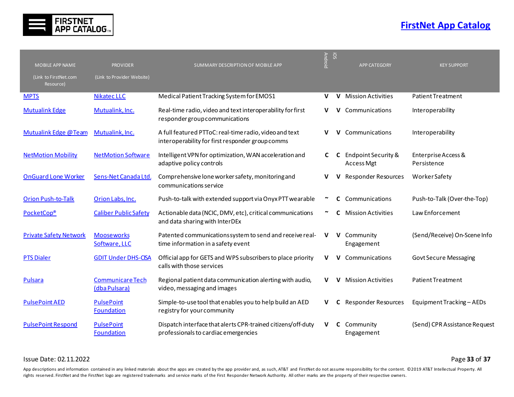

| MOBILE APP NAME                    | <b>PROVIDER</b>                          | SUMMARY DESCRIPTION OF MOBILE APP                                                                          | <b>Android</b>        | SO! | <b>APP CATEGORY</b>                      | <b>KEY SUPPORT</b>                 |
|------------------------------------|------------------------------------------|------------------------------------------------------------------------------------------------------------|-----------------------|-----|------------------------------------------|------------------------------------|
| (Link to FirstNet.com<br>Resource) | (Link to Provider Website)               |                                                                                                            |                       |     |                                          |                                    |
| <b>MPTS</b>                        | <b>Nikatec LLC</b>                       | Medical Patient Tracking System for EMOS1                                                                  | V                     | v   | <b>Mission Activities</b>                | Patient Treatment                  |
| <b>Mutualink Edge</b>              | Mutualink, Inc.                          | Real-time radio, video and text interoperability for first<br>responder group communications               | V                     | v   | Communications                           | Interoperability                   |
| <b>Mutualink Edge @Team</b>        | Mutualink, Inc.                          | A full featured PTToC: real-time radio, video and text<br>interoperability for first responder group comms | v                     | v   | Communications                           | Interoperability                   |
| <b>NetMotion Mobility</b>          | <b>NetMotion Software</b>                | Intelligent VPN for optimization, WAN acceleration and<br>adaptive policy controls                         | C                     | C   | Endpoint Security &<br><b>Access Mgt</b> | Enterprise Access &<br>Persistence |
| <b>OnGuard Lone Worker</b>         | Sens-Net Canada Ltd.                     | Comprehensive lone worker safety, monitoring and<br>communications service                                 | v                     | v   | <b>Responder Resources</b>               | <b>WorkerSafety</b>                |
| <b>Orion Push-to-Talk</b>          | Orion Labs, Inc.                         | Push-to-talk with extended support via Onyx PTT wearable                                                   | $\tilde{\phantom{a}}$ | C   | Communications                           | Push-to-Talk (Over-the-Top)        |
| <b>PocketCop®</b>                  | <b>Caliber Public Safety</b>             | Actionable data (NCIC, DMV, etc), critical communications<br>and data sharing with InterDEx                |                       | C   | <b>Mission Activities</b>                | Law Enforcement                    |
| <b>Private Safety Network</b>      | <b>Mooseworks</b><br>Software, LLC       | Patented communications system to send and receive real-<br>time information in a safety event             | V                     | V.  | Community<br>Engagement                  | (Send/Receive) On-Scene Info       |
| <b>PTS Dialer</b>                  | <b>GDIT Under DHS-CISA</b>               | Official app for GETS and WPS subscribers to place priority<br>calls with those services                   | V                     | V   | Communications                           | <b>Govt Secure Messaging</b>       |
| Pulsara                            | <b>Communicare Tech</b><br>(dba Pulsara) | Regional patient data communication alerting with audio,<br>video, messaging and images                    | v                     | v   | <b>Mission Activities</b>                | <b>Patient Treatment</b>           |
| <b>PulsePoint AED</b>              | <b>PulsePoint</b><br><b>Foundation</b>   | Simple-to-use tool that enables you to help build an AED<br>registry for your community                    | v                     | C   | <b>Responder Resources</b>               | Equipment Tracking - AEDs          |
| <b>PulsePoint Respond</b>          | <b>PulsePoint</b><br><b>Foundation</b>   | Dispatch interface that alerts CPR-trained citizens/off-duty<br>professionals to cardiac emergencies       | v                     | C   | Community<br>Engagement                  | (Send) CPR Assistance Request      |

Issue Date: 02.11.2022 Page **33** of **37**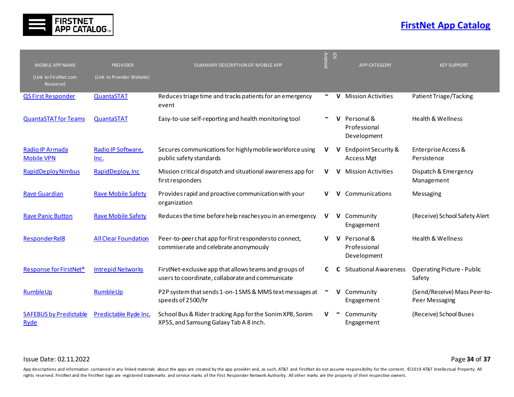

|                                       |                              |                                                                                                            | <b>Android</b> | SO           |                                           |                                                |
|---------------------------------------|------------------------------|------------------------------------------------------------------------------------------------------------|----------------|--------------|-------------------------------------------|------------------------------------------------|
| <b>MOBILE APP NAME</b>                | <b>PROVIDER</b>              | SUMMARY DESCRIPTION OF MOBILE APP                                                                          |                |              | <b>APP CATEGORY</b>                       | <b>KEY SUPPORT</b>                             |
| (Link to FirstNet.com<br>Resource)    | (Link to Provider Website)   |                                                                                                            |                |              |                                           |                                                |
| QS First Responder                    | QuantaSTAT                   | Reduces triage time and tracks patients for an emergency<br>event                                          | $\sim$         | v            | <b>Mission Activities</b>                 | Patient Triage/Tacking                         |
| <b>QuantaSTAT for Teams</b>           | QuantaSTAT                   | Easy-to-use self-reporting and health monitoring tool                                                      |                |              | Personal &<br>Professional<br>Development | <b>Health &amp; Wellness</b>                   |
| Radio IP Armada<br><b>Mobile VPN</b>  | Radio IP Software,<br>$Inc.$ | Secures communications for highly mobile workforce using<br>public safety standards                        | v              | v            | Endpoint Security &<br><b>Access Mgt</b>  | Enterprise Access &<br>Persistence             |
| <b>RapidDeploy Nimbus</b>             | RapidDeploy, Inc.            | Mission critical dispatch and situational awareness app for<br>first responders                            | v              | v            | <b>Mission Activities</b>                 | Dispatch & Emergency<br>Management             |
| <b>Rave Guardian</b>                  | <b>Rave Mobile Safety</b>    | Provides rapid and proactive communication with your<br>organization                                       | v              | v            | Communications                            | Messaging                                      |
| <b>Rave Panic Button</b>              | <b>Rave Mobile Safety</b>    | Reduces the time before help reaches you in an emergency                                                   | v              | $\mathsf{v}$ | Community<br>Engagement                   | (Receive) School Safety Alert                  |
| <b>ResponderRel8</b>                  | <b>All Clear Foundation</b>  | Peer-to-peer chat app for first responders to connect,<br>commiserate and celebrate anonymously            | v              | v            | Personal &<br>Professional<br>Development | <b>Health &amp; Wellness</b>                   |
| Response for FirstNet <sup>®</sup>    | <b>Intrepid Networks</b>     | FirstNet-exclusive app that allows teams and groups of<br>users to coordinate, collaborate and communicate | C              |              | <b>Situational Awareness</b>              | <b>Operating Picture - Public</b><br>Safety    |
| RumbleUp                              | RumbleUp                     | P2P system that sends 1-on-1 SMS & MMS text messages at<br>speeds of 2500/hr                               |                | v            | Community<br>Engagement                   | (Send/Receive) Mass Peer-to-<br>Peer Messaging |
| <b>SAFEBUS by Predictable</b><br>Ryde | Predictable Ryde Inc.        | School Bus & Rider tracking App for the Sonim XP8, Sonim<br>XP5S, and Samsung Galaxy Tab A 8 inch.         | v              |              | Community<br>Engagement                   | (Receive) School Buses                         |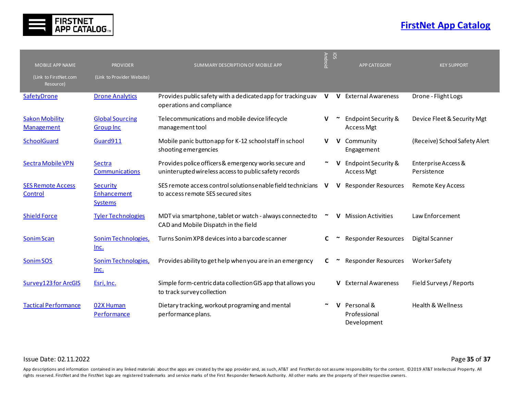

| <b>MOBILE APP NAME</b>              | <b>PROVIDER</b>                            | SUMMARY DESCRIPTION OF MOBILE APP                                                                              | Android | SO!          | <b>APP CATEGORY</b>                       | <b>KEY SUPPORT</b>                 |
|-------------------------------------|--------------------------------------------|----------------------------------------------------------------------------------------------------------------|---------|--------------|-------------------------------------------|------------------------------------|
| (Link to FirstNet.com<br>Resource)  | (Link to Provider Website)                 |                                                                                                                |         |              |                                           |                                    |
| SafetyDrone                         | <b>Drone Analytics</b>                     | Provides public safety with a dedicated app for tracking uav<br>operations and compliance                      |         |              | V V External Awareness                    | Drone - Flight Logs                |
| <b>Sakon Mobility</b><br>Management | <b>Global Sourcing</b><br><b>Group Inc</b> | Telecommunications and mobile device lifecycle<br>management tool                                              | v       |              | Endpoint Security &<br><b>Access Mgt</b>  | Device Fleet & Security Mgt        |
| SchoolGuard                         | Guard911                                   | Mobile panic button app for K-12 school staff in school<br>shooting emergencies                                | V       | $\mathsf{V}$ | Community<br>Engagement                   | (Receive) School Safety Alert      |
| Sectra Mobile VPN                   | Sectra<br><b>Communications</b>            | Provides police officers & emergency works secure and<br>uninterupted wireless access to public safety records |         |              | Endpoint Security &<br><b>Access Mgt</b>  | Enterprise Access &<br>Persistence |
| <b>SES Remote Access</b><br>Control | Security<br>Enhancement<br><b>Systems</b>  | SES remote access control solutions enable field technicians<br>to access remote SES secured sites             | v       | v            | <b>Responder Resources</b>                | Remote Key Access                  |
| <b>Shield Force</b>                 | <b>Tyler Technologies</b>                  | MDT via smartphone, tablet or watch - always connected to<br>CAD and Mobile Dispatch in the field              | $\sim$  | v            | <b>Mission Activities</b>                 | Law Enforcement                    |
| Sonim Scan                          | Sonim Technologies,<br>Inc.                | Turns Sonim XP8 devices into a barcode scanner                                                                 | C       |              | <b>Responder Resources</b>                | <b>Digital Scanner</b>             |
| Sonim SOS                           | Sonim Technologies,<br>$Inc.$              | Provides ability to get help when you are in an emergency                                                      | C       |              | <b>Responder Resources</b>                | Worker Safety                      |
| <b>Survey123 for ArcGIS</b>         | Esri, Inc.                                 | Simple form-centric data collection GIS app that allows you<br>to track survey collection                      |         |              | <b>External Awareness</b>                 | Field Surveys / Reports            |
| <b>Tactical Performance</b>         | 02X Human<br>Performance                   | Dietary tracking, workout programing and mental<br>performance plans.                                          |         |              | Personal &<br>Professional<br>Development | Health & Wellness                  |

#### Issue Date: 02.11.2022 Page **35** of **37**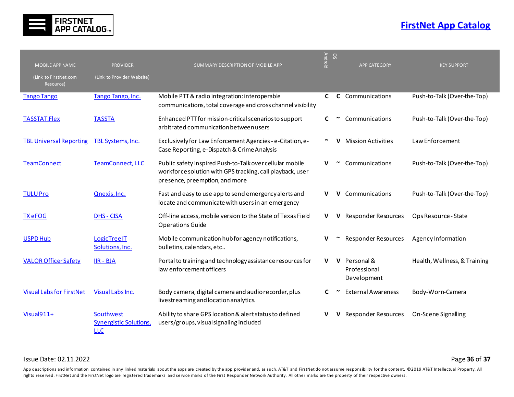

| <b>MOBILE APP NAME</b>             | <b>PROVIDER</b>                                          | SUMMARY DESCRIPTION OF MOBILE APP                                                                                                                       | <b>Android</b> | SO! | <b>APP CATEGORY</b>                         | <b>KEY SUPPORT</b>           |
|------------------------------------|----------------------------------------------------------|---------------------------------------------------------------------------------------------------------------------------------------------------------|----------------|-----|---------------------------------------------|------------------------------|
| (Link to FirstNet.com<br>Resource) | (Link to Provider Website)                               |                                                                                                                                                         |                |     |                                             |                              |
| <b>Tango Tango</b>                 | Tango Tango, Inc.                                        | Mobile PTT & radio integration: interoperable<br>communications, total coverage and cross channel visibility                                            | C              |     | <b>C</b> Communications                     | Push-to-Talk (Over-the-Top)  |
| <b>TASSTAT.Flex</b>                | <b>TASSTA</b>                                            | Enhanced PTT for mission-critical scenarios to support<br>arbitrated communication between users                                                        | C              |     | Communications                              | Push-to-Talk (Over-the-Top)  |
| <b>TBL Universal Reporting</b>     | <b>TBL Systems, Inc.</b>                                 | Exclusively for Law Enforcement Agencies - e-Citation, e-<br>Case Reporting, e-Dispatch & Crime Analysis                                                |                | v   | <b>Mission Activities</b>                   | Law Enforcement              |
| <b>TeamConnect</b>                 | <b>TeamConnect, LLC</b>                                  | Public safety inspired Push-to-Talk over cellular mobile<br>workforce solution with GPS tracking, call playback, user<br>presence, preemption, and more | v              |     | Communications                              | Push-to-Talk (Over-the-Top)  |
| <b>TULU Pro</b>                    | Qnexis, Inc.                                             | Fast and easy to use app to send emergency alerts and<br>locate and communicate with users in an emergency                                              | v              | v   | Communications                              | Push-to-Talk (Over-the-Top)  |
| <b>TX eFOG</b>                     | <b>DHS - CISA</b>                                        | Off-line access, mobile version to the State of Texas Field<br><b>Operations Guide</b>                                                                  | v              | v   | <b>Responder Resources</b>                  | Ops Resource - State         |
| <b>USPD Hub</b>                    | LogicTree IT<br>Solutions, Inc.                          | Mobile communication hub for agency notifications,<br>bulletins, calendars, etc                                                                         |                |     | <b>Responder Resources</b>                  | Agency Information           |
| <b>VALOR Officer Safety</b>        | $IIR - BJA$                                              | Portal to training and technology assistance resources for<br>law enforcement officers                                                                  | v              |     | V Personal &<br>Professional<br>Development | Health, Wellness, & Training |
| <b>Visual Labs for FirstNet</b>    | Visual Labs Inc.                                         | Body camera, digital camera and audio recorder, plus<br>livestreaming and location analytics.                                                           | C              |     | <b>External Awareness</b>                   | Body-Worn-Camera             |
| $Visual911+$                       | Southwest<br><b>Synergistic Solutions,</b><br><b>LLC</b> | Ability to share GPS location & alert status to defined<br>users/groups, visual signaling included                                                      |                | v   | <b>Responder Resources</b>                  | On-Scene Signalling          |

Issue Date: 02.11.2022 Page **36** of **37**